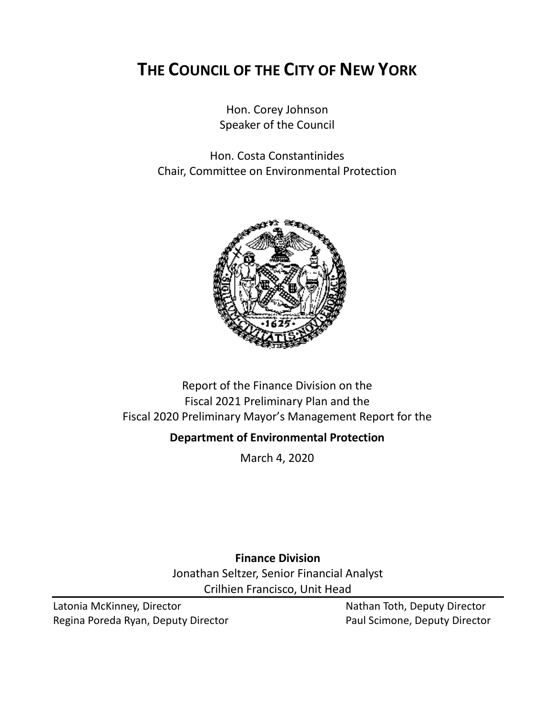# **THE COUNCIL OF THE CITY OF NEW YORK**

Hon. Corey Johnson Speaker of the Council

Hon. Costa Constantinides Chair, Committee on Environmental Protection



## Report of the Finance Division on the Fiscal 2021 Preliminary Plan and the Fiscal 2020 Preliminary Mayor's Management Report for the

## **Department of Environmental Protection**

March 4, 2020

**Finance Division** Jonathan Seltzer, Senior Financial Analyst Crilhien Francisco, Unit Head

Latonia McKinney, Director Nathan Toth, Deputy Director Regina Poreda Ryan, Deputy Director **Paul Scimone, Deputy Director**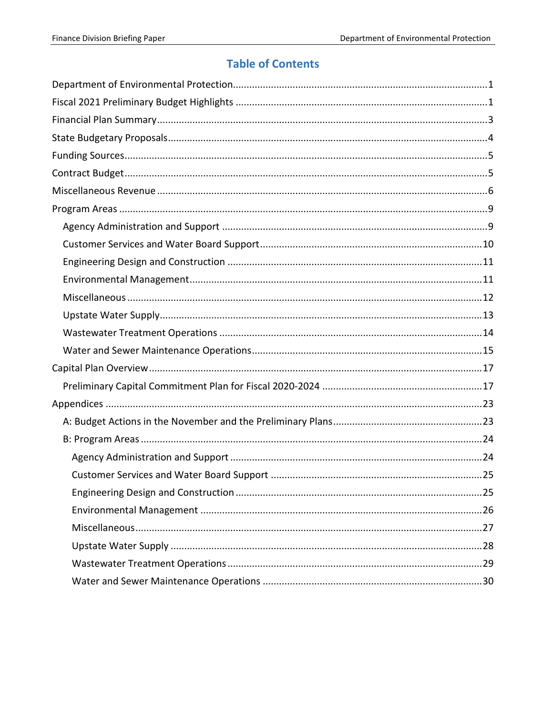## **Table of Contents**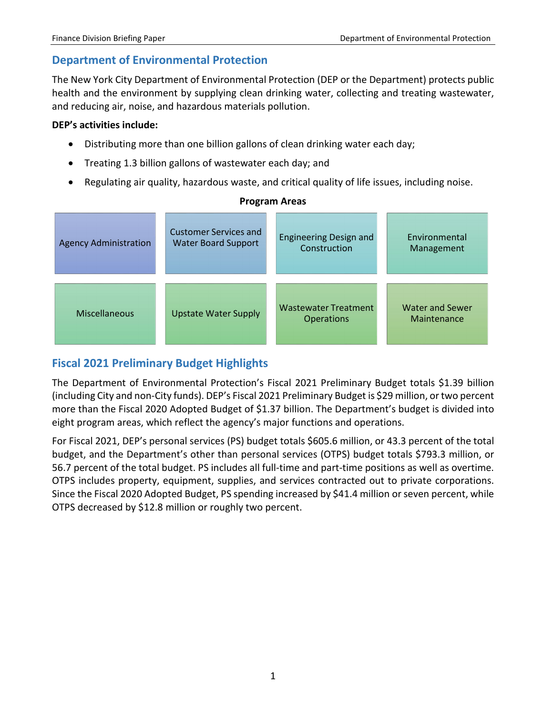## <span id="page-2-0"></span>**Department of Environmental Protection**

The New York City Department of Environmental Protection (DEP or the Department) protects public health and the environment by supplying clean drinking water, collecting and treating wastewater, and reducing air, noise, and hazardous materials pollution.

### **DEP's activities include:**

- Distributing more than one billion gallons of clean drinking water each day;
- Treating 1.3 billion gallons of wastewater each day; and
- Regulating air quality, hazardous waste, and critical quality of life issues, including noise.

| <b>Agency Administration</b> | <b>Customer Services and</b> | <b>Engineering Design and</b>                    | Environmental                         |
|------------------------------|------------------------------|--------------------------------------------------|---------------------------------------|
|                              | <b>Water Board Support</b>   | Construction                                     | Management                            |
| <b>Miscellaneous</b>         | <b>Upstate Water Supply</b>  | <b>Wastewater Treatment</b><br><b>Operations</b> | <b>Water and Sewer</b><br>Maintenance |

### **Program Areas**

## <span id="page-2-1"></span>**Fiscal 2021 Preliminary Budget Highlights**

The Department of Environmental Protection's Fiscal 2021 Preliminary Budget totals \$1.39 billion (including City and non-City funds). DEP's Fiscal 2021 Preliminary Budget is \$29 million, or two percent more than the Fiscal 2020 Adopted Budget of \$1.37 billion. The Department's budget is divided into eight program areas, which reflect the agency's major functions and operations.

For Fiscal 2021, DEP's personal services (PS) budget totals \$605.6 million, or 43.3 percent of the total budget, and the Department's other than personal services (OTPS) budget totals \$793.3 million, or 56.7 percent of the total budget. PS includes all full-time and part-time positions as well as overtime. OTPS includes property, equipment, supplies, and services contracted out to private corporations. Since the Fiscal 2020 Adopted Budget, PS spending increased by \$41.4 million or seven percent, while OTPS decreased by \$12.8 million or roughly two percent.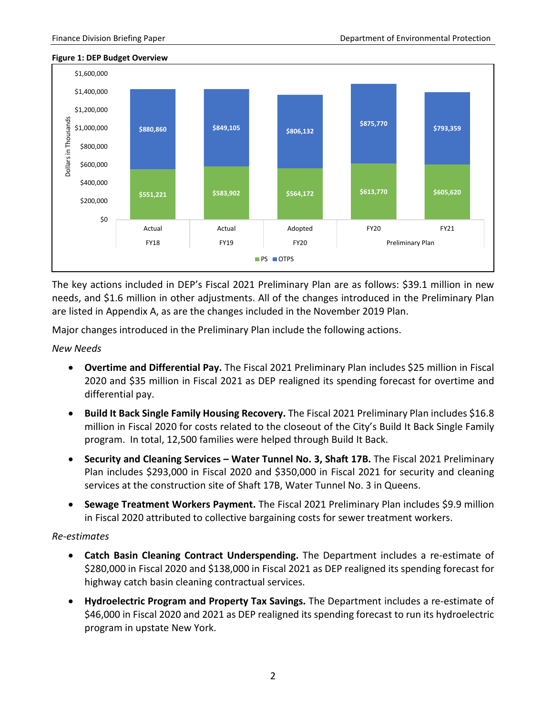

#### **Figure 1: DEP Budget Overview**

The key actions included in DEP's Fiscal 2021 Preliminary Plan are as follows: \$39.1 million in new needs, and \$1.6 million in other adjustments. All of the changes introduced in the Preliminary Plan are listed in Appendix A, as are the changes included in the November 2019 Plan.

Major changes introduced in the Preliminary Plan include the following actions.

*New Needs* 

- **Overtime and Differential Pay.** The Fiscal 2021 Preliminary Plan includes \$25 million in Fiscal 2020 and \$35 million in Fiscal 2021 as DEP realigned its spending forecast for overtime and differential pay.
- **Build It Back Single Family Housing Recovery.** The Fiscal 2021 Preliminary Plan includes \$16.8 million in Fiscal 2020 for costs related to the closeout of the City's Build It Back Single Family program. In total, 12,500 families were helped through Build It Back.
- **Security and Cleaning Services – Water Tunnel No. 3, Shaft 17B.** The Fiscal 2021 Preliminary Plan includes \$293,000 in Fiscal 2020 and \$350,000 in Fiscal 2021 for security and cleaning services at the construction site of Shaft 17B, Water Tunnel No. 3 in Queens.
- **Sewage Treatment Workers Payment.** The Fiscal 2021 Preliminary Plan includes \$9.9 million in Fiscal 2020 attributed to collective bargaining costs for sewer treatment workers.

#### *Re-estimates*

- **Catch Basin Cleaning Contract Underspending.** The Department includes a re-estimate of \$280,000 in Fiscal 2020 and \$138,000 in Fiscal 2021 as DEP realigned its spending forecast for highway catch basin cleaning contractual services.
- **Hydroelectric Program and Property Tax Savings.** The Department includes a re-estimate of \$46,000 in Fiscal 2020 and 2021 as DEP realigned its spending forecast to run its hydroelectric program in upstate New York.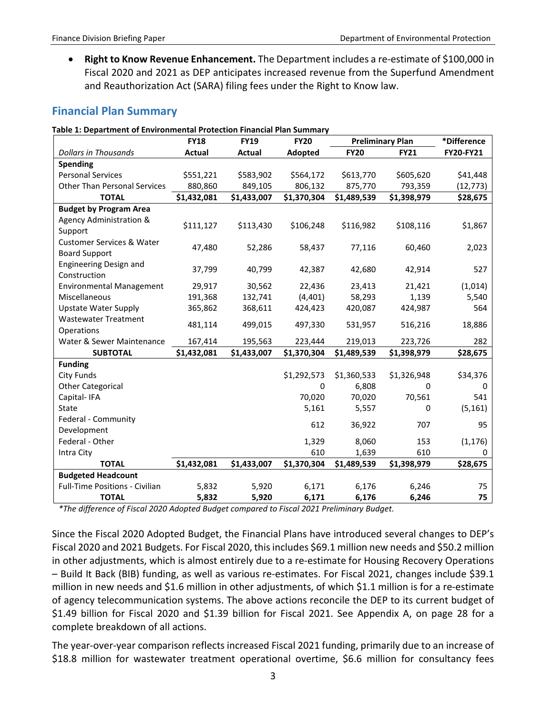• **Right to Know Revenue Enhancement.** The Department includes a re-estimate of \$100,000 in Fiscal 2020 and 2021 as DEP anticipates increased revenue from the Superfund Amendment and Reauthorization Act (SARA) filing fees under the Right to Know law.

### <span id="page-4-0"></span>**Financial Plan Summary**

|  | Table 1: Department of Environmental Protection Financial Plan Summary |  |
|--|------------------------------------------------------------------------|--|
|--|------------------------------------------------------------------------|--|

|                                                              | <b>FY18</b>   | <b>FY19</b> | <b>FY20</b> |             | <b>Preliminary Plan</b> | *Difference |
|--------------------------------------------------------------|---------------|-------------|-------------|-------------|-------------------------|-------------|
| <b>Dollars in Thousands</b>                                  | <b>Actual</b> | Actual      | Adopted     | <b>FY20</b> | <b>FY21</b>             | FY20-FY21   |
| <b>Spending</b>                                              |               |             |             |             |                         |             |
| <b>Personal Services</b>                                     | \$551,221     | \$583,902   | \$564,172   | \$613,770   | \$605,620               | \$41,448    |
| <b>Other Than Personal Services</b>                          | 880,860       | 849,105     | 806,132     | 875,770     | 793,359                 | (12, 773)   |
| <b>TOTAL</b>                                                 | \$1,432,081   | \$1,433,007 | \$1,370,304 | \$1,489,539 | \$1,398,979             | \$28,675    |
| <b>Budget by Program Area</b>                                |               |             |             |             |                         |             |
| Agency Administration &                                      | \$111,127     | \$113,430   | \$106,248   | \$116,982   | \$108,116               | \$1,867     |
| Support                                                      |               |             |             |             |                         |             |
| <b>Customer Services &amp; Water</b><br><b>Board Support</b> | 47,480        | 52,286      | 58,437      | 77,116      | 60,460                  | 2,023       |
| <b>Engineering Design and</b><br>Construction                | 37,799        | 40,799      | 42,387      | 42,680      | 42,914                  | 527         |
| <b>Environmental Management</b>                              | 29,917        | 30,562      | 22,436      | 23,413      | 21,421                  | (1,014)     |
| Miscellaneous                                                | 191,368       | 132,741     | (4, 401)    | 58,293      | 1,139                   | 5,540       |
| <b>Upstate Water Supply</b>                                  | 365,862       | 368,611     | 424,423     | 420,087     | 424,987                 | 564         |
| <b>Wastewater Treatment</b>                                  | 481,114       | 499,015     | 497,330     | 531,957     | 516,216                 | 18,886      |
| Operations                                                   |               |             |             |             |                         |             |
| Water & Sewer Maintenance                                    | 167,414       | 195,563     | 223,444     | 219,013     | 223,726                 | 282         |
| <b>SUBTOTAL</b>                                              | \$1,432,081   | \$1,433,007 | \$1,370,304 | \$1,489,539 | \$1,398,979             | \$28,675    |
| <b>Funding</b>                                               |               |             |             |             |                         |             |
| City Funds                                                   |               |             | \$1,292,573 | \$1,360,533 | \$1,326,948             | \$34,376    |
| <b>Other Categorical</b>                                     |               |             | $\Omega$    | 6,808       | 0                       | 0           |
| Capital-IFA                                                  |               |             | 70,020      | 70,020      | 70,561                  | 541         |
| State                                                        |               |             | 5,161       | 5,557       | 0                       | (5, 161)    |
| Federal - Community                                          |               |             | 612         | 36,922      | 707                     | 95          |
| Development                                                  |               |             |             |             |                         |             |
| Federal - Other                                              |               |             | 1,329       | 8,060       | 153                     | (1, 176)    |
| Intra City                                                   |               |             | 610         | 1,639       | 610                     | 0           |
| <b>TOTAL</b>                                                 | \$1,432,081   | \$1,433,007 | \$1,370,304 | \$1,489,539 | \$1,398,979             | \$28,675    |
| <b>Budgeted Headcount</b>                                    |               |             |             |             |                         |             |
| <b>Full-Time Positions - Civilian</b>                        | 5,832         | 5,920       | 6,171       | 6,176       | 6,246                   | 75          |
| <b>TOTAL</b>                                                 | 5,832         | 5,920       | 6,171       | 6,176       | 6,246                   | 75          |

*\*The difference of Fiscal 2020 Adopted Budget compared to Fiscal 2021 Preliminary Budget.*

Since the Fiscal 2020 Adopted Budget, the Financial Plans have introduced several changes to DEP's Fiscal 2020 and 2021 Budgets. For Fiscal 2020, this includes \$69.1 million new needs and \$50.2 million in other adjustments, which is almost entirely due to a re-estimate for Housing Recovery Operations – Build It Back (BIB) funding, as well as various re-estimates. For Fiscal 2021, changes include \$39.1 million in new needs and \$1.6 million in other adjustments, of which \$1.1 million is for a re-estimate of agency telecommunication systems. The above actions reconcile the DEP to its current budget of \$1.49 billion for Fiscal 2020 and \$1.39 billion for Fiscal 2021. See Appendix A, on page 28 for a complete breakdown of all actions.

The year-over-year comparison reflects increased Fiscal 2021 funding, primarily due to an increase of \$18.8 million for wastewater treatment operational overtime, \$6.6 million for consultancy fees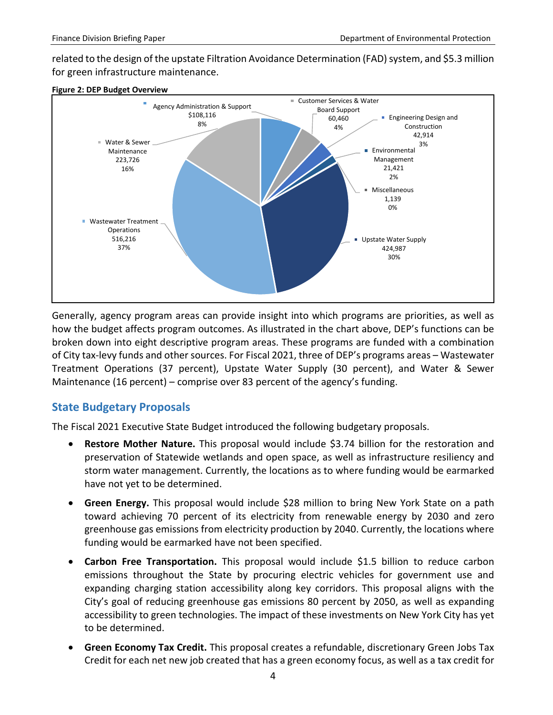related to the design of the upstate Filtration Avoidance Determination (FAD) system, and \$5.3 million for green infrastructure maintenance.





Generally, agency program areas can provide insight into which programs are priorities, as well as how the budget affects program outcomes. As illustrated in the chart above, DEP's functions can be broken down into eight descriptive program areas. These programs are funded with a combination of City tax-levy funds and other sources. For Fiscal 2021, three of DEP's programs areas – Wastewater Treatment Operations (37 percent), Upstate Water Supply (30 percent), and Water & Sewer Maintenance (16 percent) – comprise over 83 percent of the agency's funding.

### <span id="page-5-0"></span>**State Budgetary Proposals**

The Fiscal 2021 Executive State Budget introduced the following budgetary proposals.

- **Restore Mother Nature.** This proposal would include \$3.74 billion for the restoration and preservation of Statewide wetlands and open space, as well as infrastructure resiliency and storm water management. Currently, the locations as to where funding would be earmarked have not yet to be determined.
- **Green Energy.** This proposal would include \$28 million to bring New York State on a path toward achieving 70 percent of its electricity from renewable energy by 2030 and zero greenhouse gas emissions from electricity production by 2040. Currently, the locations where funding would be earmarked have not been specified.
- **Carbon Free Transportation.** This proposal would include \$1.5 billion to reduce carbon emissions throughout the State by procuring electric vehicles for government use and expanding charging station accessibility along key corridors. This proposal aligns with the City's goal of reducing greenhouse gas emissions 80 percent by 2050, as well as expanding accessibility to green technologies. The impact of these investments on New York City has yet to be determined.
- **Green Economy Tax Credit.** This proposal creates a refundable, discretionary Green Jobs Tax Credit for each net new job created that has a green economy focus, as well as a tax credit for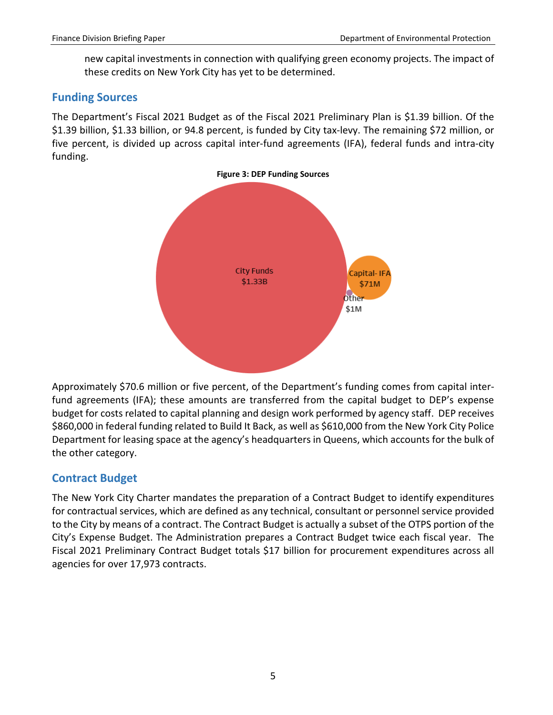new capital investments in connection with qualifying green economy projects. The impact of these credits on New York City has yet to be determined.

### <span id="page-6-0"></span>**Funding Sources**

The Department's Fiscal 2021 Budget as of the Fiscal 2021 Preliminary Plan is \$1.39 billion. Of the \$1.39 billion, \$1.33 billion, or 94.8 percent, is funded by City tax-levy. The remaining \$72 million, or five percent, is divided up across capital inter-fund agreements (IFA), federal funds and intra-city funding.



Approximately \$70.6 million or five percent, of the Department's funding comes from capital interfund agreements (IFA); these amounts are transferred from the capital budget to DEP's expense budget for costs related to capital planning and design work performed by agency staff. DEP receives \$860,000 in federal funding related to Build It Back, as well as \$610,000 from the New York City Police Department for leasing space at the agency's headquarters in Queens, which accounts for the bulk of the other category.

## <span id="page-6-1"></span>**Contract Budget**

The New York City Charter mandates the preparation of a Contract Budget to identify expenditures for contractual services, which are defined as any technical, consultant or personnel service provided to the City by means of a contract. The Contract Budget is actually a subset of the OTPS portion of the City's Expense Budget. The Administration prepares a Contract Budget twice each fiscal year. The Fiscal 2021 Preliminary Contract Budget totals \$17 billion for procurement expenditures across all agencies for over 17,973 contracts.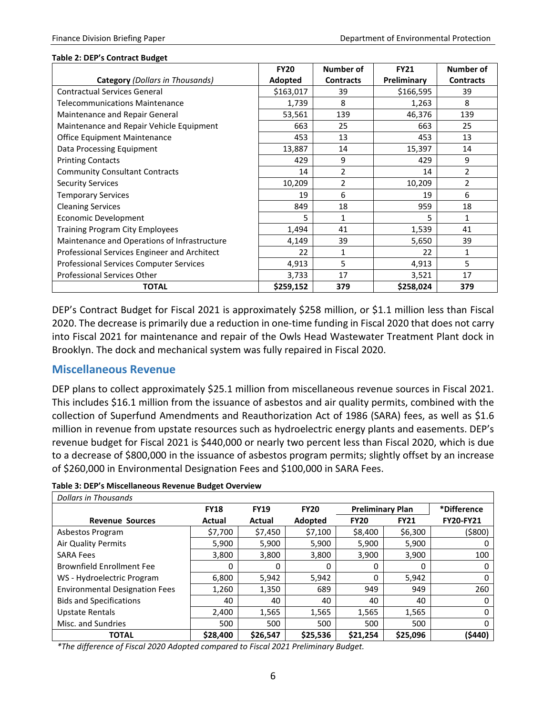#### **Table 2: DEP's Contract Budget**

|                                                | <b>FY20</b> | Number of        | <b>FY21</b> | <b>Number of</b> |
|------------------------------------------------|-------------|------------------|-------------|------------------|
| <b>Category</b> (Dollars in Thousands)         | Adopted     | <b>Contracts</b> | Preliminary | <b>Contracts</b> |
| <b>Contractual Services General</b>            | \$163,017   | 39               | \$166,595   | 39               |
| <b>Telecommunications Maintenance</b>          | 1,739       | 8                | 1,263       | 8                |
| Maintenance and Repair General                 | 53,561      | 139              | 46,376      | 139              |
| Maintenance and Repair Vehicle Equipment       | 663         | 25               | 663         | 25               |
| Office Equipment Maintenance                   | 453         | 13               | 453         | 13               |
| Data Processing Equipment                      | 13,887      | 14               | 15,397      | 14               |
| <b>Printing Contacts</b>                       | 429         | 9                | 429         | 9                |
| <b>Community Consultant Contracts</b>          | 14          | $\overline{2}$   | 14          | $\overline{2}$   |
| <b>Security Services</b>                       | 10,209      | $\overline{2}$   | 10,209      | $\overline{2}$   |
| <b>Temporary Services</b>                      | 19          | 6                | 19          | 6                |
| <b>Cleaning Services</b>                       | 849         | 18               | 959         | 18               |
| <b>Economic Development</b>                    | 5           | 1                | 5           | 1                |
| <b>Training Program City Employees</b>         | 1,494       | 41               | 1,539       | 41               |
| Maintenance and Operations of Infrastructure   | 4,149       | 39               | 5,650       | 39               |
| Professional Services Engineer and Architect   | 22          | 1                | 22          | 1                |
| <b>Professional Services Computer Services</b> | 4,913       | 5                | 4,913       | 5                |
| Professional Services Other                    | 3,733       | 17               | 3,521       | 17               |
| <b>TOTAL</b>                                   | \$259,152   | 379              | \$258,024   | 379              |

DEP's Contract Budget for Fiscal 2021 is approximately \$258 million, or \$1.1 million less than Fiscal 2020. The decrease is primarily due a reduction in one-time funding in Fiscal 2020 that does not carry into Fiscal 2021 for maintenance and repair of the Owls Head Wastewater Treatment Plant dock in Brooklyn. The dock and mechanical system was fully repaired in Fiscal 2020.

### <span id="page-7-0"></span>**Miscellaneous Revenue**

DEP plans to collect approximately \$25.1 million from miscellaneous revenue sources in Fiscal 2021. This includes \$16.1 million from the issuance of asbestos and air quality permits, combined with the collection of Superfund Amendments and Reauthorization Act of 1986 (SARA) fees, as well as \$1.6 million in revenue from upstate resources such as hydroelectric energy plants and easements. DEP's revenue budget for Fiscal 2021 is \$440,000 or nearly two percent less than Fiscal 2020, which is due to a decrease of \$800,000 in the issuance of asbestos program permits; slightly offset by an increase of \$260,000 in Environmental Designation Fees and \$100,000 in SARA Fees.

|  |  |  | Table 3: DEP's Miscellaneous Revenue Budget Overview |
|--|--|--|------------------------------------------------------|
|--|--|--|------------------------------------------------------|

| Dollars in Thousands                  |             |             |             |                         |             |                  |
|---------------------------------------|-------------|-------------|-------------|-------------------------|-------------|------------------|
|                                       | <b>FY18</b> | <b>FY19</b> | <b>FY20</b> | <b>Preliminary Plan</b> |             | *Difference      |
| <b>Revenue Sources</b>                | Actual      | Actual      | Adopted     | <b>FY20</b>             | <b>FY21</b> | <b>FY20-FY21</b> |
| Asbestos Program                      | \$7,700     | \$7,450     | \$7,100     | \$8,400                 | \$6,300     | $($ \$800)       |
| Air Quality Permits                   | 5,900       | 5,900       | 5,900       | 5,900                   | 5,900       | 0                |
| <b>SARA Fees</b>                      | 3,800       | 3,800       | 3,800       | 3,900                   | 3,900       | 100              |
| <b>Brownfield Enrollment Fee</b>      | 0           | 0           | 0           | 0                       | 0           | 0                |
| WS - Hydroelectric Program            | 6,800       | 5,942       | 5,942       | 0                       | 5,942       | 0                |
| <b>Environmental Designation Fees</b> | 1,260       | 1,350       | 689         | 949                     | 949         | 260              |
| <b>Bids and Specifications</b>        | 40          | 40          | 40          | 40                      | 40          | 0                |
| <b>Upstate Rentals</b>                | 2,400       | 1,565       | 1,565       | 1,565                   | 1,565       | 0                |
| Misc. and Sundries                    | 500         | 500         | 500         | 500                     | 500         | 0                |
| <b>TOTAL</b>                          | \$28,400    | \$26,547    | \$25,536    | \$21.254                | \$25,096    | (\$440)          |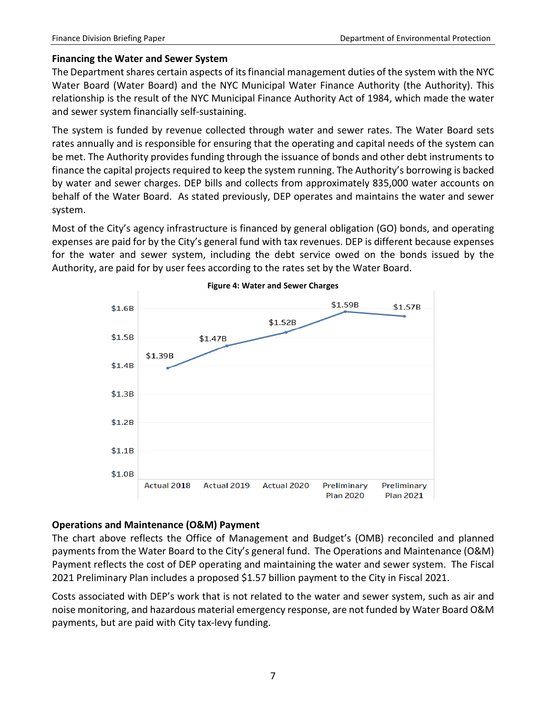### **Financing the Water and Sewer System**

The Department shares certain aspects of its financial management duties of the system with the NYC Water Board (Water Board) and the NYC Municipal Water Finance Authority (the Authority). This relationship is the result of the NYC Municipal Finance Authority Act of 1984, which made the water and sewer system financially self-sustaining.

The system is funded by revenue collected through water and sewer rates. The Water Board sets rates annually and is responsible for ensuring that the operating and capital needs of the system can be met. The Authority provides funding through the issuance of bonds and other debt instruments to finance the capital projects required to keep the system running. The Authority's borrowing is backed by water and sewer charges. DEP bills and collects from approximately 835,000 water accounts on behalf of the Water Board. As stated previously, DEP operates and maintains the water and sewer system.

Most of the City's agency infrastructure is financed by general obligation (GO) bonds, and operating expenses are paid for by the City's general fund with tax revenues. DEP is different because expenses for the water and sewer system, including the debt service owed on the bonds issued by the Authority, are paid for by user fees according to the rates set by the Water Board.



#### **Figure 4: Water and Sewer Charges**

### **Operations and Maintenance (O&M) Payment**

The chart above reflects the Office of Management and Budget's (OMB) reconciled and planned payments from the Water Board to the City's general fund. The Operations and Maintenance (O&M) Payment reflects the cost of DEP operating and maintaining the water and sewer system. The Fiscal 2021 Preliminary Plan includes a proposed \$1.57 billion payment to the City in Fiscal 2021.

Costs associated with DEP's work that is not related to the water and sewer system, such as air and noise monitoring, and hazardous material emergency response, are not funded by Water Board O&M payments, but are paid with City tax-levy funding.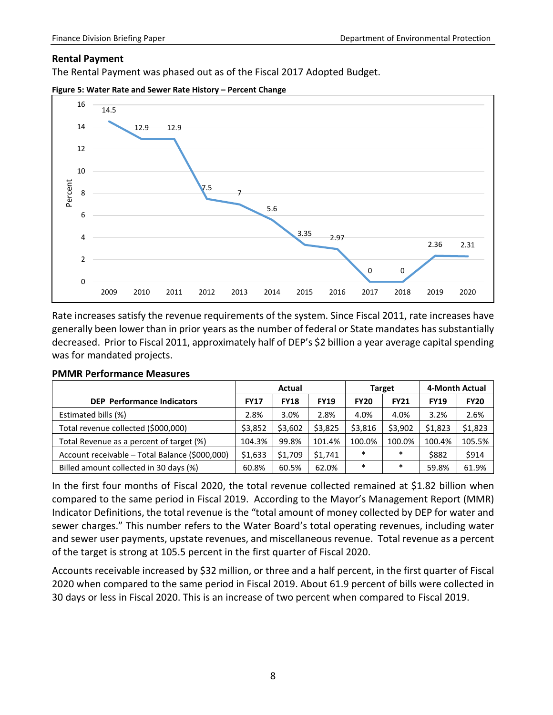#### **Rental Payment**

The Rental Payment was phased out as of the Fiscal 2017 Adopted Budget.





Rate increases satisfy the revenue requirements of the system. Since Fiscal 2011, rate increases have generally been lower than in prior years as the number of federal or State mandates has substantially decreased. Prior to Fiscal 2011, approximately half of DEP's \$2 billion a year average capital spending was for mandated projects.

|                                                | Actual      |             |             |             | <b>Target</b> | 4-Month Actual |             |
|------------------------------------------------|-------------|-------------|-------------|-------------|---------------|----------------|-------------|
| <b>DEP</b> Performance Indicators              | <b>FY17</b> | <b>FY18</b> | <b>FY19</b> | <b>FY20</b> | <b>FY21</b>   | <b>FY19</b>    | <b>FY20</b> |
| Estimated bills (%)                            | 2.8%        | 3.0%        | 2.8%        | 4.0%        | 4.0%          | 3.2%           | 2.6%        |
| Total revenue collected (\$000,000)            | \$3,852     | \$3,602     | \$3,825     | \$3,816     | \$3.902       | \$1,823        | \$1,823     |
| Total Revenue as a percent of target (%)       | 104.3%      | 99.8%       | 101.4%      | 100.0%      | 100.0%        | 100.4%         | 105.5%      |
| Account receivable - Total Balance (\$000,000) | \$1,633     | \$1.709     | \$1,741     | $\ast$      | $\ast$        | \$882          | \$914       |
| Billed amount collected in 30 days (%)         | 60.8%       | 60.5%       | 62.0%       | $\ast$      | *             | 59.8%          | 61.9%       |

#### **PMMR Performance Measures**

In the first four months of Fiscal 2020, the total revenue collected remained at \$1.82 billion when compared to the same period in Fiscal 2019. According to the Mayor's Management Report (MMR) Indicator Definitions, the total revenue is the "total amount of money collected by DEP for water and sewer charges." This number refers to the Water Board's total operating revenues, including water and sewer user payments, upstate revenues, and miscellaneous revenue. Total revenue as a percent of the target is strong at 105.5 percent in the first quarter of Fiscal 2020.

Accounts receivable increased by \$32 million, or three and a half percent, in the first quarter of Fiscal 2020 when compared to the same period in Fiscal 2019. About 61.9 percent of bills were collected in 30 days or less in Fiscal 2020. This is an increase of two percent when compared to Fiscal 2019.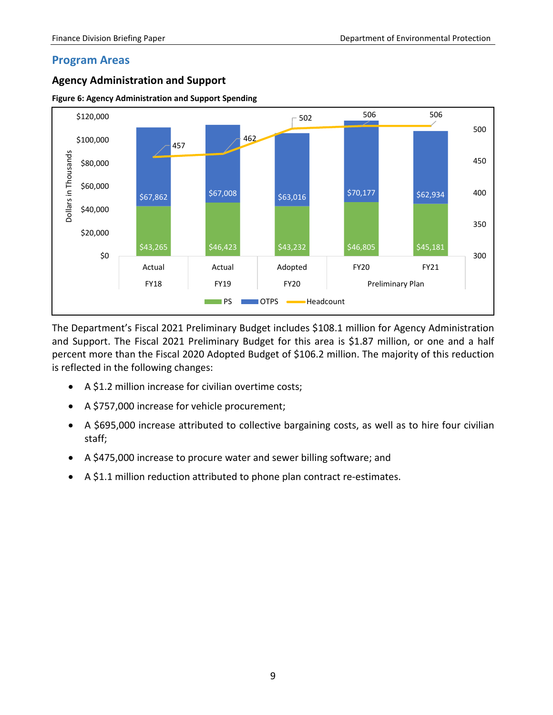### <span id="page-10-0"></span>**Program Areas**

### <span id="page-10-1"></span>**Agency Administration and Support**





The Department's Fiscal 2021 Preliminary Budget includes \$108.1 million for Agency Administration and Support. The Fiscal 2021 Preliminary Budget for this area is \$1.87 million, or one and a half percent more than the Fiscal 2020 Adopted Budget of \$106.2 million. The majority of this reduction is reflected in the following changes:

- A \$1.2 million increase for civilian overtime costs;
- A \$757,000 increase for vehicle procurement;
- A \$695,000 increase attributed to collective bargaining costs, as well as to hire four civilian staff;
- A \$475,000 increase to procure water and sewer billing software; and
- A \$1.1 million reduction attributed to phone plan contract re-estimates.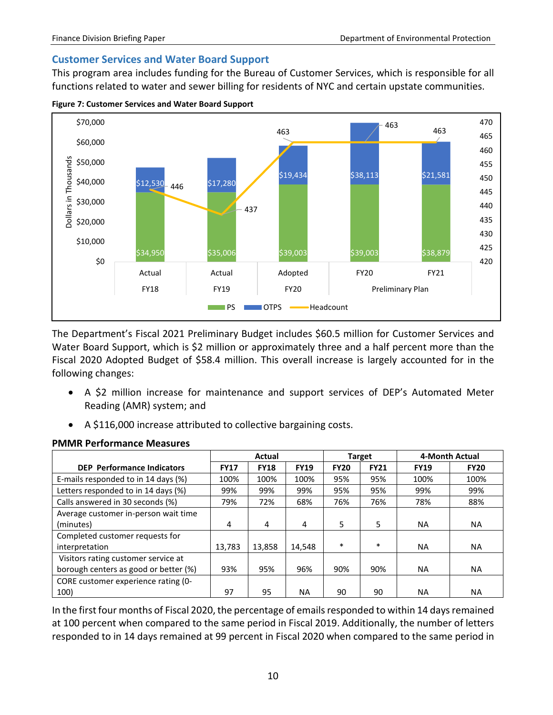### <span id="page-11-0"></span>**Customer Services and Water Board Support**

This program area includes funding for the Bureau of Customer Services, which is responsible for all functions related to water and sewer billing for residents of NYC and certain upstate communities.

**Figure 7: Customer Services and Water Board Support**



The Department's Fiscal 2021 Preliminary Budget includes \$60.5 million for Customer Services and Water Board Support, which is \$2 million or approximately three and a half percent more than the Fiscal 2020 Adopted Budget of \$58.4 million. This overall increase is largely accounted for in the following changes:

- A \$2 million increase for maintenance and support services of DEP's Automated Meter Reading (AMR) system; and
- A \$116,000 increase attributed to collective bargaining costs.

|                                       | <b>Actual</b> |             |             |             | <b>Target</b> | 4-Month Actual |             |
|---------------------------------------|---------------|-------------|-------------|-------------|---------------|----------------|-------------|
| <b>DEP</b> Performance Indicators     | <b>FY17</b>   | <b>FY18</b> | <b>FY19</b> | <b>FY20</b> | <b>FY21</b>   | <b>FY19</b>    | <b>FY20</b> |
| E-mails responded to in 14 days (%)   | 100%          | 100%        | 100%        | 95%         | 95%           | 100%           | 100%        |
| Letters responded to in 14 days (%)   | 99%           | 99%         | 99%         | 95%         | 95%           | 99%            | 99%         |
| Calls answered in 30 seconds (%)      | 79%           | 72%         | 68%         | 76%         | 76%           | 78%            | 88%         |
| Average customer in-person wait time  |               |             |             |             |               |                |             |
| (minutes)                             | 4             | 4           | 4           | 5           | 5             | <b>NA</b>      | <b>NA</b>   |
| Completed customer requests for       |               |             |             |             |               |                |             |
| interpretation                        | 13.783        | 13.858      | 14.548      | $\ast$      | $\ast$        | <b>NA</b>      | <b>NA</b>   |
| Visitors rating customer service at   |               |             |             |             |               |                |             |
| borough centers as good or better (%) | 93%           | 95%         | 96%         | 90%         | 90%           | <b>NA</b>      | <b>NA</b>   |
| CORE customer experience rating (0-   |               |             |             |             |               |                |             |
| 100)                                  | 97            | 95          | NA.         | 90          | 90            | NA.            | <b>NA</b>   |

### **PMMR Performance Measures**

In the first four months of Fiscal 2020, the percentage of emails responded to within 14 days remained at 100 percent when compared to the same period in Fiscal 2019. Additionally, the number of letters responded to in 14 days remained at 99 percent in Fiscal 2020 when compared to the same period in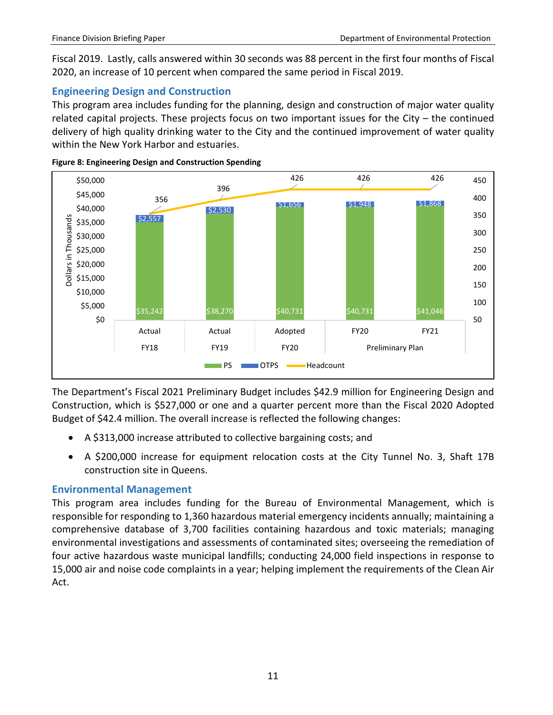Fiscal 2019. Lastly, calls answered within 30 seconds was 88 percent in the first four months of Fiscal 2020, an increase of 10 percent when compared the same period in Fiscal 2019.

### <span id="page-12-0"></span>**Engineering Design and Construction**

This program area includes funding for the planning, design and construction of major water quality related capital projects. These projects focus on two important issues for the City – the continued delivery of high quality drinking water to the City and the continued improvement of water quality within the New York Harbor and estuaries.





The Department's Fiscal 2021 Preliminary Budget includes \$42.9 million for Engineering Design and Construction, which is \$527,000 or one and a quarter percent more than the Fiscal 2020 Adopted Budget of \$42.4 million. The overall increase is reflected the following changes:

- A \$313,000 increase attributed to collective bargaining costs; and
- A \$200,000 increase for equipment relocation costs at the City Tunnel No. 3, Shaft 17B construction site in Queens.

### <span id="page-12-1"></span>**Environmental Management**

This program area includes funding for the Bureau of Environmental Management, which is responsible for responding to 1,360 hazardous material emergency incidents annually; maintaining a comprehensive database of 3,700 facilities containing hazardous and toxic materials; managing environmental investigations and assessments of contaminated sites; overseeing the remediation of four active hazardous waste municipal landfills; conducting 24,000 field inspections in response to 15,000 air and noise code complaints in a year; helping implement the requirements of the Clean Air Act.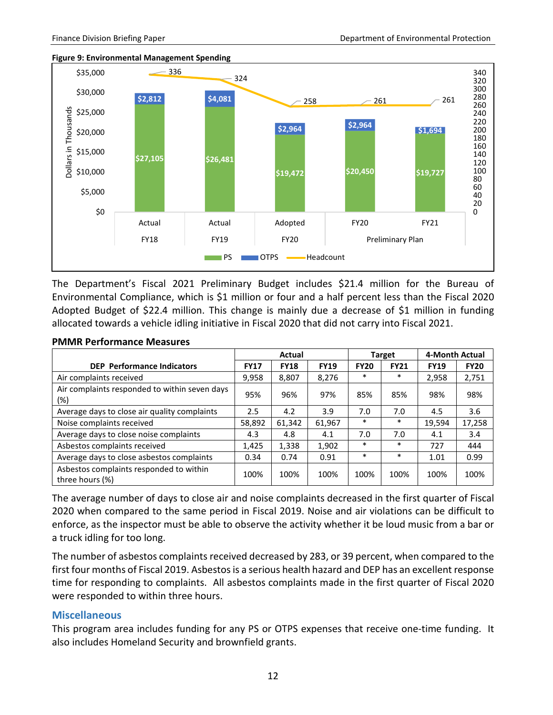



The Department's Fiscal 2021 Preliminary Budget includes \$21.4 million for the Bureau of Environmental Compliance, which is \$1 million or four and a half percent less than the Fiscal 2020 Adopted Budget of \$22.4 million. This change is mainly due a decrease of \$1 million in funding allocated towards a vehicle idling initiative in Fiscal 2020 that did not carry into Fiscal 2021.

|                                                            |             | <b>Actual</b> |             |             | <b>Target</b> | 4-Month Actual |             |
|------------------------------------------------------------|-------------|---------------|-------------|-------------|---------------|----------------|-------------|
| <b>DEP</b> Performance Indicators                          | <b>FY17</b> | <b>FY18</b>   | <b>FY19</b> | <b>FY20</b> | <b>FY21</b>   | <b>FY19</b>    | <b>FY20</b> |
| Air complaints received                                    | 9,958       | 8,807         | 8,276       | $\ast$      | $\ast$        | 2,958          | 2,751       |
| Air complaints responded to within seven days<br>$(\%)$    | 95%         | 96%           | 97%         | 85%         | 85%           | 98%            | 98%         |
| Average days to close air quality complaints               | 2.5         | 4.2           | 3.9         | 7.0         | 7.0           | 4.5            | 3.6         |
| Noise complaints received                                  | 58,892      | 61,342        | 61,967      | $\ast$      | $\ast$        | 19,594         | 17,258      |
| Average days to close noise complaints                     | 4.3         | 4.8           | 4.1         | 7.0         | 7.0           | 4.1            | 3.4         |
| Asbestos complaints received                               | 1,425       | 1,338         | 1,902       | $\ast$      | $\ast$        | 727            | 444         |
| Average days to close asbestos complaints                  | 0.34        | 0.74          | 0.91        | $\ast$      | $\ast$        | 1.01           | 0.99        |
| Asbestos complaints responded to within<br>three hours (%) | 100%        | 100%          | 100%        | 100%        | 100%          | 100%           | 100%        |

#### **PMMR Performance Measures**

The average number of days to close air and noise complaints decreased in the first quarter of Fiscal 2020 when compared to the same period in Fiscal 2019. Noise and air violations can be difficult to enforce, as the inspector must be able to observe the activity whether it be loud music from a bar or a truck idling for too long.

The number of asbestos complaints received decreased by 283, or 39 percent, when compared to the first four months of Fiscal 2019. Asbestos is a serious health hazard and DEP has an excellent response time for responding to complaints. All asbestos complaints made in the first quarter of Fiscal 2020 were responded to within three hours.

#### <span id="page-13-0"></span>**Miscellaneous**

This program area includes funding for any PS or OTPS expenses that receive one-time funding. It also includes Homeland Security and brownfield grants.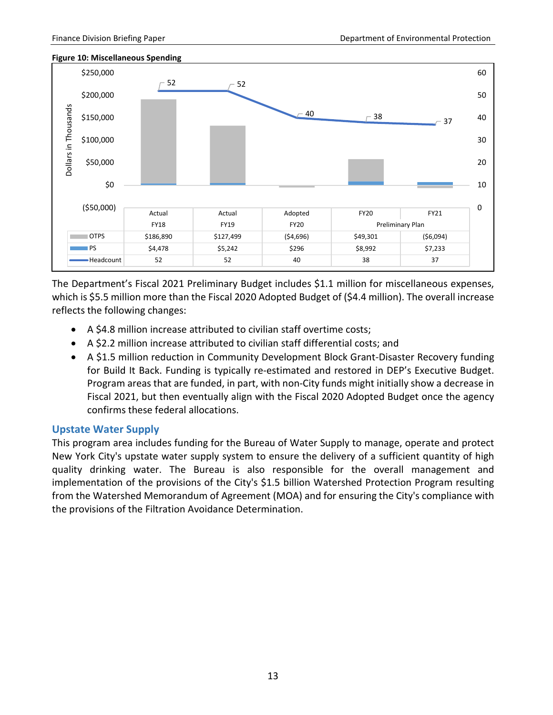0

10

20

30

40

50

60

### \$250,000 52  $-52$ \$200,000 Dollars in Thousands Dollars in Thousands $\begin{array}{@{}c@{\hspace{1em}}c@{\hspace{1em}}c@{\hspace{1em}}c@{\hspace{1em}}c@{\hspace{1em}}c@{\hspace{1em}}c@{\hspace{1em}}c@{\hspace{1em}}c@{\hspace{1em}}c@{\hspace{1em}}c@{\hspace{1em}}c@{\hspace{1em}}c@{\hspace{1em}}c@{\hspace{1em}}c@{\hspace{1em}}c@{\hspace{1em}}c@{\hspace{1em}}c@{\hspace{1em}}c@{\hspace{1em}}c@{\hspace{1em}}c@{\hspace{1em}}c@{\hspace{1em}}c@{\hspace{1em}}c@{\hspace{$ \$150,000 \$100,000 \$50,000 \$0 (\$50,000) Actual Actual Adopted FY20 FY21 FY18 FY19 FY19 FY20 Preliminary Plan OTPS | \$186,890 | \$127,499 | (\$4,696) | \$49,301 | (\$6,094) PS | \$4,478 | \$5,242 | \$296 | \$8,992 | \$7,233

#### **Figure 10: Miscellaneous Spending**

The Department's Fiscal 2021 Preliminary Budget includes \$1.1 million for miscellaneous expenses, which is \$5.5 million more than the Fiscal 2020 Adopted Budget of (\$4.4 million). The overall increase reflects the following changes:

Headcount 52 52 52 40 38 37

- A \$4.8 million increase attributed to civilian staff overtime costs;
- A \$2.2 million increase attributed to civilian staff differential costs; and
- A \$1.5 million reduction in Community Development Block Grant-Disaster Recovery funding for Build It Back. Funding is typically re-estimated and restored in DEP's Executive Budget. Program areas that are funded, in part, with non-City funds might initially show a decrease in Fiscal 2021, but then eventually align with the Fiscal 2020 Adopted Budget once the agency confirms these federal allocations.

### <span id="page-14-0"></span>**Upstate Water Supply**

This program area includes funding for the Bureau of Water Supply to manage, operate and protect New York City's upstate water supply system to ensure the delivery of a sufficient quantity of high quality drinking water. The Bureau is also responsible for the overall management and implementation of the provisions of the City's \$1.5 billion Watershed Protection Program resulting from the Watershed Memorandum of Agreement (MOA) and for ensuring the City's compliance with the provisions of the Filtration Avoidance Determination.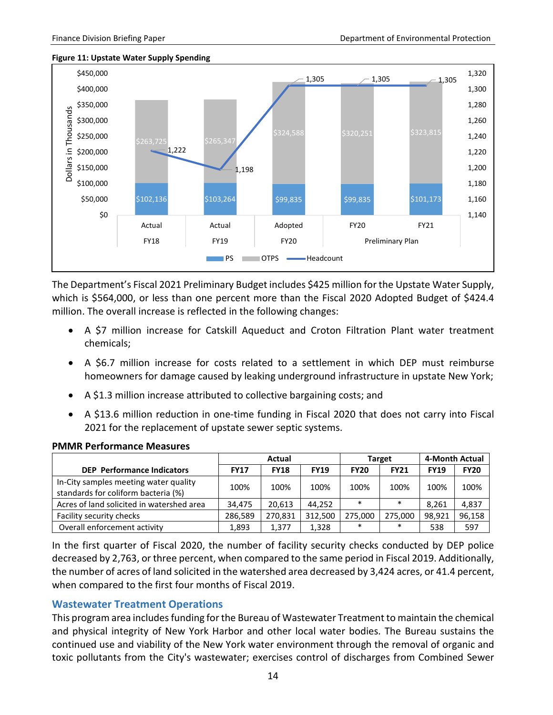#### **Figure 11: Upstate Water Supply Spending**



The Department's Fiscal 2021 Preliminary Budget includes \$425 million for the Upstate Water Supply, which is \$564,000, or less than one percent more than the Fiscal 2020 Adopted Budget of \$424.4 million. The overall increase is reflected in the following changes:

- A \$7 million increase for Catskill Aqueduct and Croton Filtration Plant water treatment chemicals;
- A \$6.7 million increase for costs related to a settlement in which DEP must reimburse homeowners for damage caused by leaking underground infrastructure in upstate New York;
- A \$1.3 million increase attributed to collective bargaining costs; and
- A \$13.6 million reduction in one-time funding in Fiscal 2020 that does not carry into Fiscal 2021 for the replacement of upstate sewer septic systems.

|                                                                              |             | Actual      |             |             | <b>Target</b> | 4-Month Actual |             |
|------------------------------------------------------------------------------|-------------|-------------|-------------|-------------|---------------|----------------|-------------|
| <b>DEP</b> Performance Indicators                                            | <b>FY17</b> | <b>FY18</b> | <b>FY19</b> | <b>FY20</b> | <b>FY21</b>   | <b>FY19</b>    | <b>FY20</b> |
| In-City samples meeting water quality<br>standards for coliform bacteria (%) | 100%        | 100%        | 100%        | 100%        | 100%          | 100%           | 100%        |
| Acres of land solicited in watershed area                                    | 34.475      | 20.613      | 44,252      | $\ast$      | $\ast$        | 8.261          | 4,837       |
| Facility security checks                                                     | 286.589     | 270,831     | 312,500     | 275.000     | 275.000       | 98,921         | 96,158      |
| Overall enforcement activity                                                 | 1,893       | 1,377       | 1,328       | $\ast$      | $\ast$        | 538            | 597         |

#### **PMMR Performance Measures**

In the first quarter of Fiscal 2020, the number of facility security checks conducted by DEP police decreased by 2,763, or three percent, when compared to the same period in Fiscal 2019. Additionally, the number of acres of land solicited in the watershed area decreased by 3,424 acres, or 41.4 percent, when compared to the first four months of Fiscal 2019.

### <span id="page-15-0"></span>**Wastewater Treatment Operations**

This program area includes funding for the Bureau of Wastewater Treatment to maintain the chemical and physical integrity of New York Harbor and other local water bodies. The Bureau sustains the continued use and viability of the New York water environment through the removal of organic and toxic pollutants from the City's wastewater; exercises control of discharges from Combined Sewer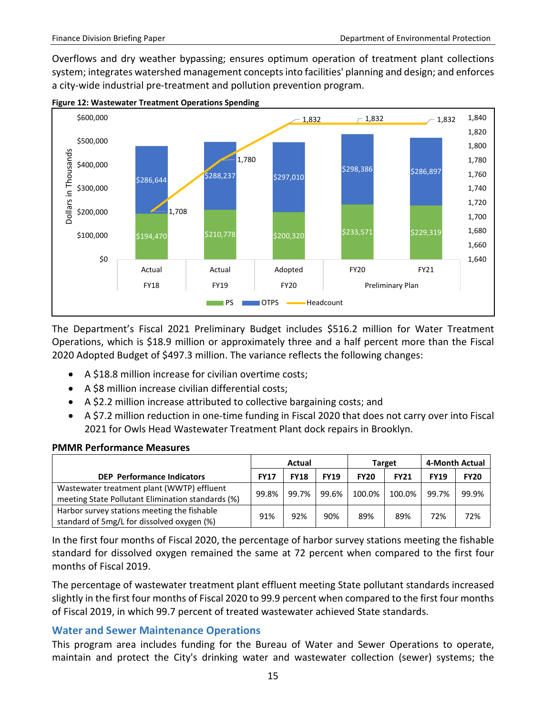Overflows and dry weather bypassing; ensures optimum operation of treatment plant collections system; integrates watershed management concepts into facilities' planning and design; and enforces a city-wide industrial pre-treatment and pollution prevention program.



**Figure 12: Wastewater Treatment Operations Spending**

The Department's Fiscal 2021 Preliminary Budget includes \$516.2 million for Water Treatment Operations, which is \$18.9 million or approximately three and a half percent more than the Fiscal 2020 Adopted Budget of \$497.3 million. The variance reflects the following changes:

- A \$18.8 million increase for civilian overtime costs;
- A \$8 million increase civilian differential costs;
- A \$2.2 million increase attributed to collective bargaining costs; and
- A \$7.2 million reduction in one-time funding in Fiscal 2020 that does not carry over into Fiscal 2021 for Owls Head Wastewater Treatment Plant dock repairs in Brooklyn.

#### **PMMR Performance Measures**

|                                                                                                 | Actual      |             |             |             | <b>Target</b> | 4-Month Actual |             |
|-------------------------------------------------------------------------------------------------|-------------|-------------|-------------|-------------|---------------|----------------|-------------|
| <b>DEP</b> Performance Indicators                                                               | <b>FY17</b> | <b>FY18</b> | <b>FY19</b> | <b>FY20</b> | <b>FY21</b>   | <b>FY19</b>    | <b>FY20</b> |
| Wastewater treatment plant (WWTP) effluent<br>meeting State Pollutant Elimination standards (%) | 99.8%       | 99.7%       | 99.6%       | 100.0%      | 100.0%        | 99.7%          | 99.9%       |
| Harbor survey stations meeting the fishable<br>standard of 5mg/L for dissolved oxygen (%)       | 91%         | 92%         | 90%         | 89%         | 89%           | 72%            | 72%         |

In the first four months of Fiscal 2020, the percentage of harbor survey stations meeting the fishable standard for dissolved oxygen remained the same at 72 percent when compared to the first four months of Fiscal 2019.

The percentage of wastewater treatment plant effluent meeting State pollutant standards increased slightly in the first four months of Fiscal 2020 to 99.9 percent when compared to the first four months of Fiscal 2019, in which 99.7 percent of treated wastewater achieved State standards.

### <span id="page-16-0"></span>**Water and Sewer Maintenance Operations**

This program area includes funding for the Bureau of Water and Sewer Operations to operate, maintain and protect the City's drinking water and wastewater collection (sewer) systems; the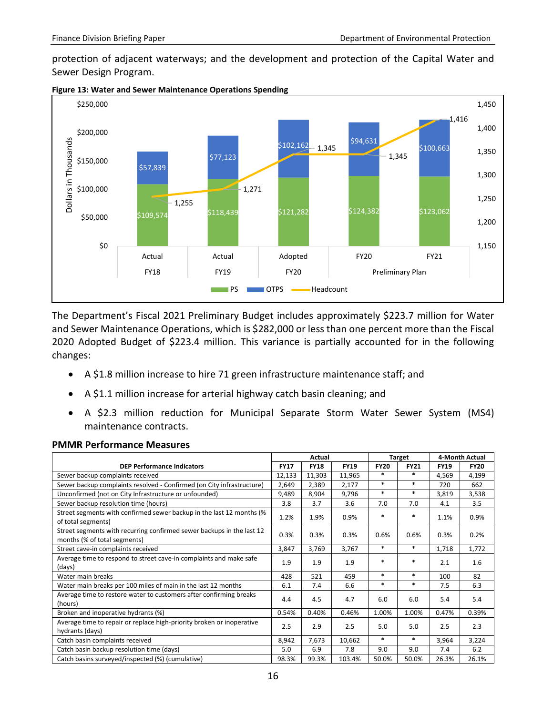protection of adjacent waterways; and the development and protection of the Capital Water and Sewer Design Program.





The Department's Fiscal 2021 Preliminary Budget includes approximately \$223.7 million for Water and Sewer Maintenance Operations, which is \$282,000 or less than one percent more than the Fiscal 2020 Adopted Budget of \$223.4 million. This variance is partially accounted for in the following changes:

- A \$1.8 million increase to hire 71 green infrastructure maintenance staff; and
- A \$1.1 million increase for arterial highway catch basin cleaning; and
- A \$2.3 million reduction for Municipal Separate Storm Water Sewer System (MS4) maintenance contracts.

|                                                                                                       | Actual      |             |             | <b>Target</b> |             | 4-Month Actual |             |
|-------------------------------------------------------------------------------------------------------|-------------|-------------|-------------|---------------|-------------|----------------|-------------|
| <b>DEP Performance Indicators</b>                                                                     | <b>FY17</b> | <b>FY18</b> | <b>FY19</b> | <b>FY20</b>   | <b>FY21</b> | <b>FY19</b>    | <b>FY20</b> |
| Sewer backup complaints received                                                                      | 12,133      | 11,303      | 11,965      | $*$           | $\ast$      | 4,569          | 4,199       |
| Sewer backup complaints resolved - Confirmed (on City infrastructure)                                 | 2,649       | 2,389       | 2,177       | $*$           | $\ast$      | 720            | 662         |
| Unconfirmed (not on City Infrastructure or unfounded)                                                 | 9,489       | 8,904       | 9,796       | $\ast$        | $\ast$      | 3,819          | 3,538       |
| Sewer backup resolution time (hours)                                                                  | 3.8         | 3.7         | 3.6         | 7.0           | 7.0         | 4.1            | 3.5         |
| Street segments with confirmed sewer backup in the last 12 months (%<br>of total segments)            | 1.2%        | 1.9%        | 0.9%        | $\ast$        | *           | 1.1%           | 0.9%        |
| Street segments with recurring confirmed sewer backups in the last 12<br>months (% of total segments) | 0.3%        | 0.3%        | 0.3%        | 0.6%          | 0.6%        | 0.3%           | 0.2%        |
| Street cave-in complaints received                                                                    | 3,847       | 3,769       | 3,767       | $\ast$        | *           | 1,718          | 1,772       |
| Average time to respond to street cave-in complaints and make safe<br>(days)                          | 1.9         | 1.9         | 1.9         | $\ast$        | *           | 2.1            | 1.6         |
| Water main breaks                                                                                     | 428         | 521         | 459         | $\ast$        | $\ast$      | 100            | 82          |
| Water main breaks per 100 miles of main in the last 12 months                                         | 6.1         | 7.4         | 6.6         | $\ast$        | $\ast$      | 7.5            | 6.3         |
| Average time to restore water to customers after confirming breaks<br>(hours)                         | 4.4         | 4.5         | 4.7         | 6.0           | 6.0         | 5.4            | 5.4         |
| Broken and inoperative hydrants (%)                                                                   | 0.54%       | 0.40%       | 0.46%       | 1.00%         | 1.00%       | 0.47%          | 0.39%       |
| Average time to repair or replace high-priority broken or inoperative<br>hydrants (days)              | 2.5         | 2.9         | 2.5         | 5.0           | 5.0         | 2.5            | 2.3         |
| Catch basin complaints received                                                                       | 8,942       | 7,673       | 10,662      | $\ast$        | $\ast$      | 3,964          | 3,224       |
| Catch basin backup resolution time (days)                                                             | 5.0         | 6.9         | 7.8         | 9.0           | 9.0         | 7.4            | 6.2         |
| Catch basins surveyed/inspected (%) (cumulative)                                                      | 98.3%       | 99.3%       | 103.4%      | 50.0%         | 50.0%       | 26.3%          | 26.1%       |

#### **PMMR Performance Measures**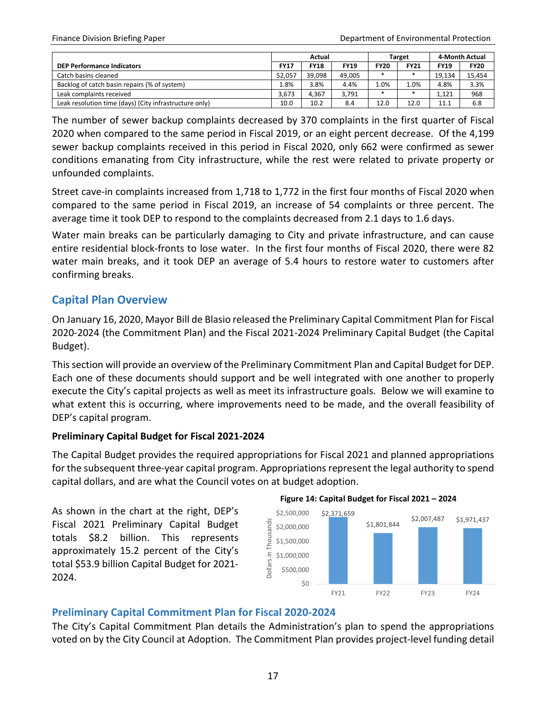|                                                        | Actual      |             |             | <b>Target</b> |             | 4-Month Actual |             |
|--------------------------------------------------------|-------------|-------------|-------------|---------------|-------------|----------------|-------------|
| <b>DEP Performance Indicators</b>                      | <b>FY17</b> | <b>FY18</b> | <b>FY19</b> | <b>FY20</b>   | <b>FY21</b> | <b>FY19</b>    | <b>FY20</b> |
| Catch basins cleaned                                   | 52.057      | 39.098      | 49.005      |               |             | 19.134         | 15.454      |
| Backlog of catch basin repairs (% of system)           | 1.8%        | 3.8%        | 4.4%        | 1.0%          | 1.0%        | 4.8%           | 3.3%        |
| Leak complaints received                               | 3.673       | 4.367       | 3.791       |               |             | 1.121          | 968         |
| Leak resolution time (days) (City infrastructure only) | 10.0        | 10.2        | 8.4         | 12.0          | 12.0        | 11.1           | 6.8         |

The number of sewer backup complaints decreased by 370 complaints in the first quarter of Fiscal 2020 when compared to the same period in Fiscal 2019, or an eight percent decrease. Of the 4,199 sewer backup complaints received in this period in Fiscal 2020, only 662 were confirmed as sewer conditions emanating from City infrastructure, while the rest were related to private property or unfounded complaints.

Street cave-in complaints increased from 1,718 to 1,772 in the first four months of Fiscal 2020 when compared to the same period in Fiscal 2019, an increase of 54 complaints or three percent. The average time it took DEP to respond to the complaints decreased from 2.1 days to 1.6 days.

Water main breaks can be particularly damaging to City and private infrastructure, and can cause entire residential block-fronts to lose water. In the first four months of Fiscal 2020, there were 82 water main breaks, and it took DEP an average of 5.4 hours to restore water to customers after confirming breaks.

### <span id="page-18-0"></span>**Capital Plan Overview**

On January 16, 2020, Mayor Bill de Blasio released the Preliminary Capital Commitment Plan for Fiscal 2020-2024 (the Commitment Plan) and the Fiscal 2021-2024 Preliminary Capital Budget (the Capital Budget).

Thissection will provide an overview of the Preliminary Commitment Plan and Capital Budget for DEP. Each one of these documents should support and be well integrated with one another to properly execute the City's capital projects as well as meet its infrastructure goals. Below we will examine to what extent this is occurring, where improvements need to be made, and the overall feasibility of DEP's capital program.

### **Preliminary Capital Budget for Fiscal 2021-2024**

The Capital Budget provides the required appropriations for Fiscal 2021 and planned appropriations for the subsequent three-year capital program. Appropriations represent the legal authority to spend capital dollars, and are what the Council votes on at budget adoption.

As shown in the chart at the right, DEP's Fiscal 2021 Preliminary Capital Budget totals \$8.2 billion. This represents approximately 15.2 percent of the City's total \$53.9 billion Capital Budget for 2021- 2024.

**Figure 14: Capital Budget for Fiscal 2021 – 2024**



### <span id="page-18-1"></span>**Preliminary Capital Commitment Plan for Fiscal 2020-2024**

The City's Capital Commitment Plan details the Administration's plan to spend the appropriations voted on by the City Council at Adoption. The Commitment Plan provides project-level funding detail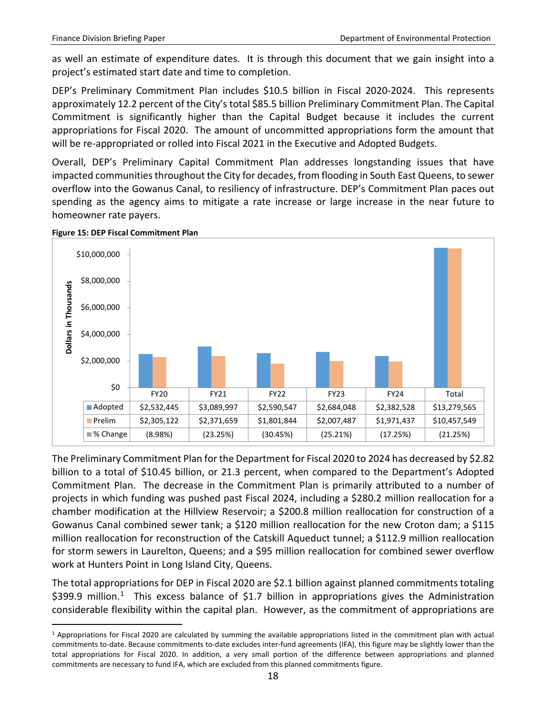as well an estimate of expenditure dates. It is through this document that we gain insight into a project's estimated start date and time to completion.

DEP's Preliminary Commitment Plan includes \$10.5 billion in Fiscal 2020-2024. This represents approximately 12.2 percent of the City's total \$85.5 billion Preliminary Commitment Plan. The Capital Commitment is significantly higher than the Capital Budget because it includes the current appropriations for Fiscal 2020. The amount of uncommitted appropriations form the amount that will be re-appropriated or rolled into Fiscal 2021 in the Executive and Adopted Budgets.

Overall, DEP's Preliminary Capital Commitment Plan addresses longstanding issues that have impacted communities throughout the City for decades, from flooding in South East Queens, to sewer overflow into the Gowanus Canal, to resiliency of infrastructure. DEP's Commitment Plan paces out spending as the agency aims to mitigate a rate increase or large increase in the near future to homeowner rate payers.



#### **Figure 15: DEP Fiscal Commitment Plan**

The Preliminary Commitment Plan for the Department for Fiscal 2020 to 2024 has decreased by \$2.82 billion to a total of \$10.45 billion, or 21.3 percent, when compared to the Department's Adopted Commitment Plan. The decrease in the Commitment Plan is primarily attributed to a number of projects in which funding was pushed past Fiscal 2024, including a \$280.2 million reallocation for a chamber modification at the Hillview Reservoir; a \$200.8 million reallocation for construction of a Gowanus Canal combined sewer tank; a \$120 million reallocation for the new Croton dam; a \$115 million reallocation for reconstruction of the Catskill Aqueduct tunnel; a \$112.9 million reallocation for storm sewers in Laurelton, Queens; and a \$95 million reallocation for combined sewer overflow work at Hunters Point in Long Island City, Queens.

The total appropriations for DEP in Fiscal 2020 are \$2.1 billion against planned commitments totaling \$399.9 million.<sup>[1](#page-19-0)</sup> This excess balance of \$1.7 billion in appropriations gives the Administration considerable flexibility within the capital plan. However, as the commitment of appropriations are

<span id="page-19-0"></span><sup>&</sup>lt;sup>1</sup> Appropriations for Fiscal 2020 are calculated by summing the available appropriations listed in the commitment plan with actual commitments to-date. Because commitments to-date excludes inter-fund agreements (IFA), this figure may be slightly lower than the total appropriations for Fiscal 2020. In addition, a very small portion of the difference between appropriations and planned commitments are necessary to fund IFA, which are excluded from this planned commitments figure.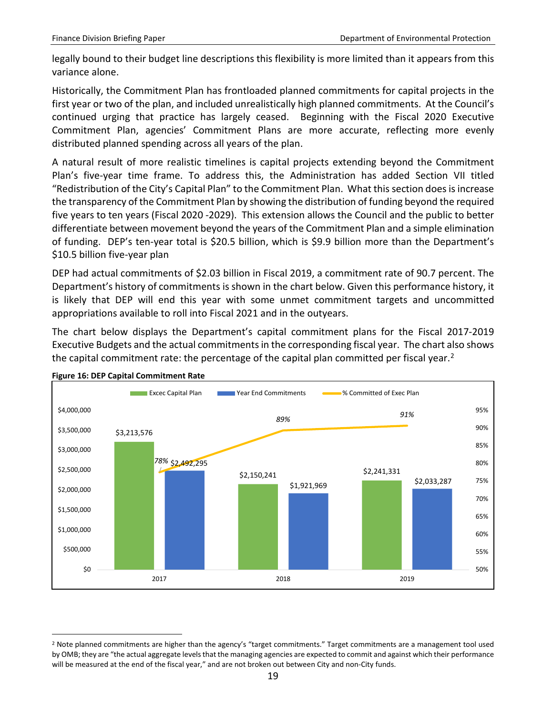legally bound to their budget line descriptions this flexibility is more limited than it appears from this variance alone.

Historically, the Commitment Plan has frontloaded planned commitments for capital projects in the first year or two of the plan, and included unrealistically high planned commitments. At the Council's continued urging that practice has largely ceased. Beginning with the Fiscal 2020 Executive Commitment Plan, agencies' Commitment Plans are more accurate, reflecting more evenly distributed planned spending across all years of the plan.

A natural result of more realistic timelines is capital projects extending beyond the Commitment Plan's five-year time frame. To address this, the Administration has added Section VII titled "Redistribution of the City's Capital Plan" to the Commitment Plan. What this section does is increase the transparency of the Commitment Plan by showing the distribution of funding beyond the required five years to ten years (Fiscal 2020 -2029). This extension allows the Council and the public to better differentiate between movement beyond the years of the Commitment Plan and a simple elimination of funding. DEP's ten-year total is \$20.5 billion, which is \$9.9 billion more than the Department's \$10.5 billion five-year plan

DEP had actual commitments of \$2.03 billion in Fiscal 2019, a commitment rate of 90.7 percent. The Department's history of commitments is shown in the chart below. Given this performance history, it is likely that DEP will end this year with some unmet commitment targets and uncommitted appropriations available to roll into Fiscal 2021 and in the outyears.

The chart below displays the Department's capital commitment plans for the Fiscal 2017-2019 Executive Budgets and the actual commitments in the corresponding fiscal year. The chart also shows the capital commitment rate: the percentage of the capital plan committed per fiscal year.<sup>[2](#page-20-0)</sup>



**Figure 16: DEP Capital Commitment Rate** 

<span id="page-20-0"></span><sup>&</sup>lt;sup>2</sup> Note planned commitments are higher than the agency's "target commitments." Target commitments are a management tool used by OMB; they are "the actual aggregate levels that the managing agencies are expected to commit and against which their performance will be measured at the end of the fiscal year," and are not broken out between City and non-City funds.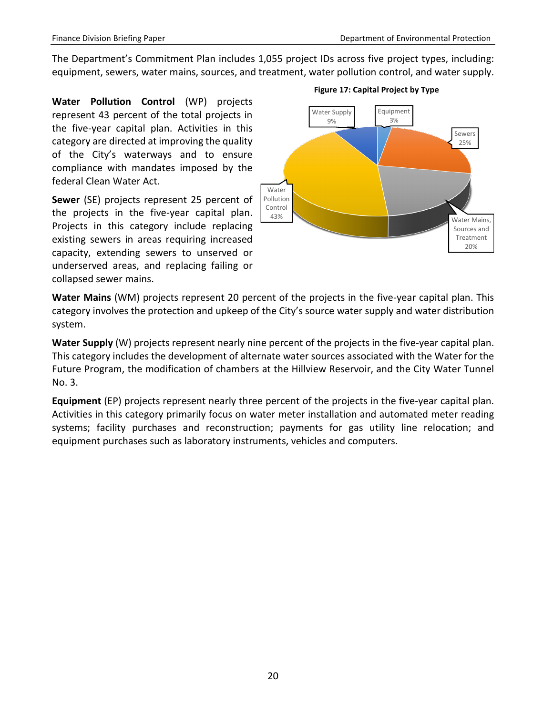The Department's Commitment Plan includes 1,055 project IDs across five project types, including: equipment, sewers, water mains, sources, and treatment, water pollution control, and water supply.

**Water Pollution Control** (WP) projects represent 43 percent of the total projects in the five-year capital plan. Activities in this category are directed at improving the quality of the City's waterways and to ensure compliance with mandates imposed by the federal Clean Water Act.

**Sewer** (SE) projects represent 25 percent of the projects in the five-year capital plan. Projects in this category include replacing existing sewers in areas requiring increased capacity, extending sewers to unserved or underserved areas, and replacing failing or collapsed sewer mains.



#### **Figure 17: Capital Project by Type**

**Water Mains** (WM) projects represent 20 percent of the projects in the five-year capital plan. This category involves the protection and upkeep of the City's source water supply and water distribution system.

**Water Supply** (W) projects represent nearly nine percent of the projects in the five-year capital plan. This category includes the development of alternate water sources associated with the Water for the Future Program, the modification of chambers at the Hillview Reservoir, and the City Water Tunnel No. 3.

**Equipment** (EP) projects represent nearly three percent of the projects in the five-year capital plan. Activities in this category primarily focus on water meter installation and automated meter reading systems; facility purchases and reconstruction; payments for gas utility line relocation; and equipment purchases such as laboratory instruments, vehicles and computers.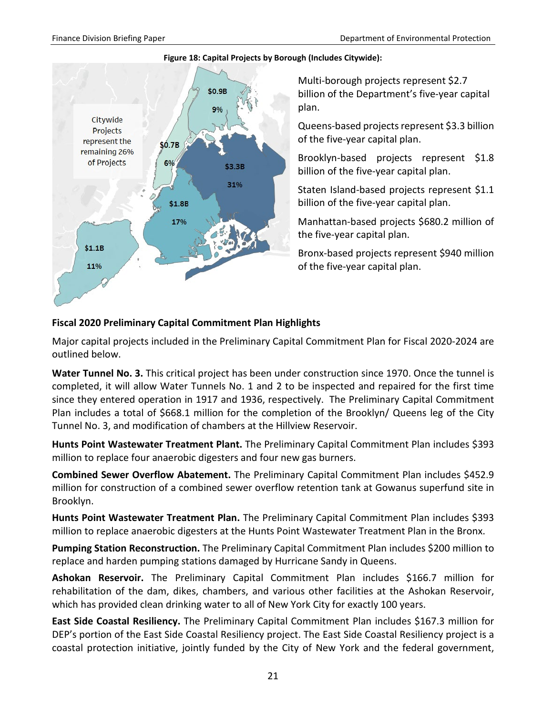

#### **Figure 18: Capital Projects by Borough (Includes Citywide):**

Multi-borough projects represent \$2.7 billion of the Department's five-year capital plan.

Queens-based projects represent \$3.3 billion of the five-year capital plan.

Brooklyn-based projects represent \$1.8 billion of the five-year capital plan.

Staten Island-based projects represent \$1.1 billion of the five-year capital plan.

Manhattan-based projects \$680.2 million of the five-year capital plan.

Bronx-based projects represent \$940 million of the five-year capital plan.

### **Fiscal 2020 Preliminary Capital Commitment Plan Highlights**

Major capital projects included in the Preliminary Capital Commitment Plan for Fiscal 2020-2024 are outlined below.

**Water Tunnel No. 3.** This critical project has been under construction since 1970. Once the tunnel is completed, it will allow Water Tunnels No. 1 and 2 to be inspected and repaired for the first time since they entered operation in 1917 and 1936, respectively. The Preliminary Capital Commitment Plan includes a total of \$668.1 million for the completion of the Brooklyn/ Queens leg of the City Tunnel No. 3, and modification of chambers at the Hillview Reservoir.

**Hunts Point Wastewater Treatment Plant.** The Preliminary Capital Commitment Plan includes \$393 million to replace four anaerobic digesters and four new gas burners.

**Combined Sewer Overflow Abatement.** The Preliminary Capital Commitment Plan includes \$452.9 million for construction of a combined sewer overflow retention tank at Gowanus superfund site in Brooklyn.

**Hunts Point Wastewater Treatment Plan.** The Preliminary Capital Commitment Plan includes \$393 million to replace anaerobic digesters at the Hunts Point Wastewater Treatment Plan in the Bronx.

**Pumping Station Reconstruction.** The Preliminary Capital Commitment Plan includes \$200 million to replace and harden pumping stations damaged by Hurricane Sandy in Queens.

**Ashokan Reservoir.** The Preliminary Capital Commitment Plan includes \$166.7 million for rehabilitation of the dam, dikes, chambers, and various other facilities at the Ashokan Reservoir, which has provided clean drinking water to all of New York City for exactly 100 years.

**East Side Coastal Resiliency.** The Preliminary Capital Commitment Plan includes \$167.3 million for DEP's portion of the East Side Coastal Resiliency project. The East Side Coastal Resiliency project is a coastal protection initiative, jointly funded by the City of New York and the federal government,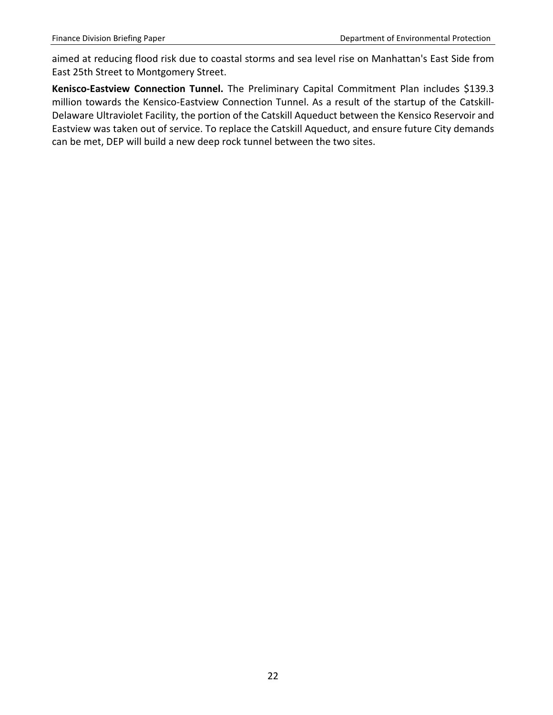aimed at reducing flood risk due to coastal storms and sea level rise on Manhattan's East Side from East 25th Street to Montgomery Street.

**Kenisco-Eastview Connection Tunnel.** The Preliminary Capital Commitment Plan includes \$139.3 million towards the Kensico-Eastview Connection Tunnel. As a result of the startup of the Catskill-Delaware Ultraviolet Facility, the portion of the Catskill Aqueduct between the Kensico Reservoir and Eastview was taken out of service. To replace the Catskill Aqueduct, and ensure future City demands can be met, DEP will build a new deep rock tunnel between the two sites.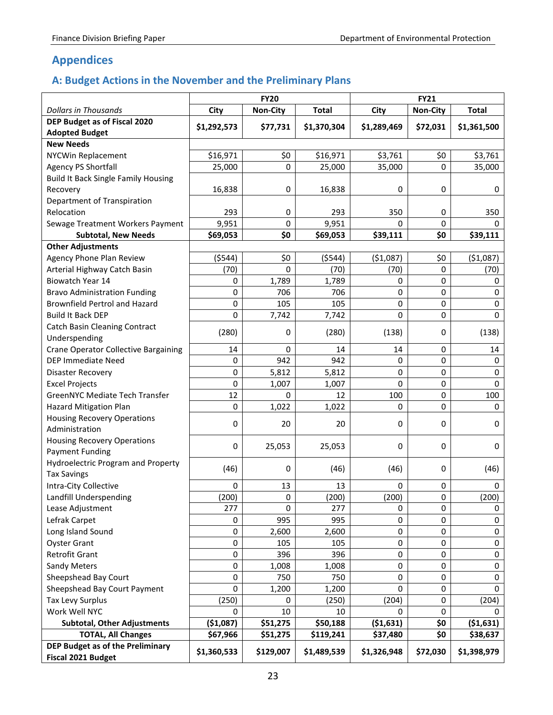## <span id="page-24-0"></span>**Appendices**

## <span id="page-24-1"></span>**A: Budget Actions in the November and the Preliminary Plans**

|                                             |             | <b>FY20</b>     |              |             | <b>FY21</b>     |              |
|---------------------------------------------|-------------|-----------------|--------------|-------------|-----------------|--------------|
| <b>Dollars in Thousands</b>                 | City        | <b>Non-City</b> | <b>Total</b> | City        | <b>Non-City</b> | <b>Total</b> |
| DEP Budget as of Fiscal 2020                | \$1,292,573 | \$77,731        | \$1,370,304  | \$1,289,469 | \$72,031        | \$1,361,500  |
| <b>Adopted Budget</b>                       |             |                 |              |             |                 |              |
| <b>New Needs</b>                            |             |                 |              |             |                 |              |
| NYCWin Replacement                          | \$16,971    | \$0             | \$16,971     | \$3,761     | \$0             | \$3,761      |
| Agency PS Shortfall                         | 25,000      | 0               | 25,000       | 35,000      | 0               | 35,000       |
| <b>Build It Back Single Family Housing</b>  |             |                 |              |             |                 |              |
| Recovery                                    | 16,838      | 0               | 16,838       | 0           | 0               | 0            |
| Department of Transpiration                 |             |                 |              |             |                 |              |
| Relocation                                  | 293         | 0               | 293          | 350         | 0               | 350          |
| Sewage Treatment Workers Payment            | 9,951       | 0               | 9,951        | 0           | 0               | 0            |
| <b>Subtotal, New Needs</b>                  | \$69,053    | \$0             | \$69,053     | \$39,111    | \$0             | \$39,111     |
| <b>Other Adjustments</b>                    |             |                 |              |             |                 |              |
| <b>Agency Phone Plan Review</b>             | (5544)      | \$0             | (5544)       | ( \$1,087)  | \$0             | (\$1,087)    |
| Arterial Highway Catch Basin                | (70)        | $\Omega$        | (70)         | (70)        | 0               | (70)         |
| <b>Biowatch Year 14</b>                     | 0           | 1,789           | 1,789        | 0           | 0               | 0            |
| <b>Bravo Administration Funding</b>         | 0           | 706             | 706          | 0           | 0               | 0            |
| <b>Brownfield Pertrol and Hazard</b>        | 0           | 105             | 105          | 0           | 0               | 0            |
| <b>Build It Back DEP</b>                    | 0           | 7,742           | 7,742        | 0           | 0               | $\Omega$     |
| Catch Basin Cleaning Contract               | (280)       | 0               | (280)        | (138)       | 0               | (138)        |
| Underspending                               |             |                 |              |             |                 |              |
| <b>Crane Operator Collective Bargaining</b> | 14          | 0               | 14           | 14          | 0               | 14           |
| <b>DEP Immediate Need</b>                   | 0           | 942             | 942          | 0           | 0               | 0            |
| <b>Disaster Recovery</b>                    | 0           | 5,812           | 5,812        | 0           | 0               | 0            |
| <b>Excel Projects</b>                       | 0           | 1,007           | 1,007        | 0           | 0               | 0            |
| GreenNYC Mediate Tech Transfer              | 12          | $\Omega$        | 12           | 100         | 0               | 100          |
| <b>Hazard Mitigation Plan</b>               | 0           | 1,022           | 1,022        | 0           | 0               | 0            |
| <b>Housing Recovery Operations</b>          |             |                 |              |             |                 |              |
| Administration                              | 0           | 20              | 20           | 0           | 0               | 0            |
| <b>Housing Recovery Operations</b>          | 0           | 25,053          | 25,053       | 0           | 0               | 0            |
| <b>Payment Funding</b>                      |             |                 |              |             |                 |              |
| <b>Hydroelectric Program and Property</b>   | (46)        | 0               | (46)         | (46)        | 0               | (46)         |
| <b>Tax Savings</b>                          |             |                 |              |             |                 |              |
| Intra-City Collective                       | 0           | 13              | 13           | 0           | 0               | 0            |
| Landfill Underspending                      | (200)       | 0               | (200)        | (200)       | 0               | (200)        |
| Lease Adjustment                            | 277         | $\Omega$        | 277          | 0           | 0               | 0            |
| Lefrak Carpet                               | 0           | 995             | 995          | 0           | 0               | 0            |
| Long Island Sound                           | 0           | 2,600           | 2,600        | 0           | 0               | 0            |
| <b>Oyster Grant</b>                         | 0           | 105             | 105          | 0           | 0               | 0            |
| <b>Retrofit Grant</b>                       | 0           | 396             | 396          | 0           | 0               | 0            |
| <b>Sandy Meters</b>                         | 0           | 1,008           | 1,008        | 0           | 0               | 0            |
| Sheepshead Bay Court                        | 0           | 750             | 750          | 0           | 0               | 0            |
| Sheepshead Bay Court Payment                | 0           | 1,200           | 1,200        | 0           | 0               | 0            |
| <b>Tax Levy Surplus</b>                     | (250)       | 0               | (250)        | (204)       | 0               | (204)        |
| Work Well NYC                               | 0           | 10              | 10           | 0           | 0               | O            |
| <b>Subtotal, Other Adjustments</b>          | ( \$1,087)  | \$51,275        | \$50,188     | ( \$1,631)  | \$0             | ( \$1,631]   |
| <b>TOTAL, All Changes</b>                   | \$67,966    | \$51,275        | \$119,241    | \$37,480    | \$0             | \$38,637     |
| DEP Budget as of the Preliminary            |             |                 |              |             |                 |              |
| <b>Fiscal 2021 Budget</b>                   | \$1,360,533 | \$129,007       | \$1,489,539  | \$1,326,948 | \$72,030        | \$1,398,979  |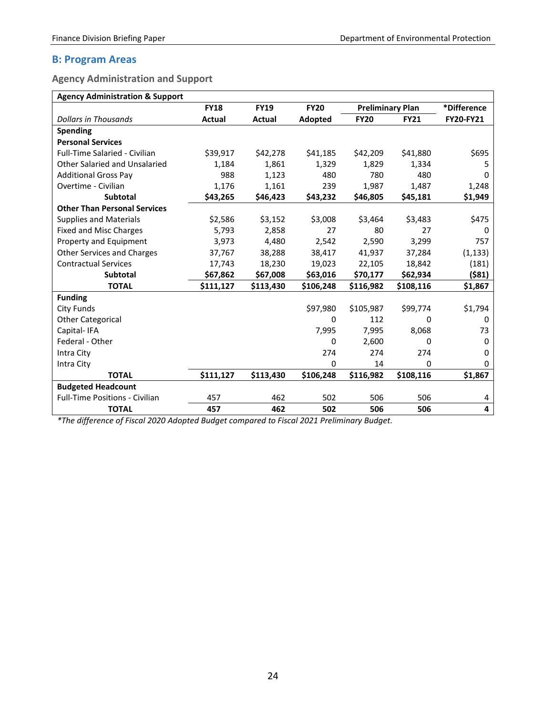### <span id="page-25-0"></span>**B: Program Areas**

<span id="page-25-1"></span>**Agency Administration and Support** 

| <b>Agency Administration &amp; Support</b> |             |               |             |                         |             |                  |
|--------------------------------------------|-------------|---------------|-------------|-------------------------|-------------|------------------|
|                                            | <b>FY18</b> | <b>FY19</b>   | <b>FY20</b> | <b>Preliminary Plan</b> |             | *Difference      |
| <b>Dollars in Thousands</b>                | Actual      | <b>Actual</b> | Adopted     | <b>FY20</b>             | <b>FY21</b> | <b>FY20-FY21</b> |
| <b>Spending</b>                            |             |               |             |                         |             |                  |
| <b>Personal Services</b>                   |             |               |             |                         |             |                  |
| Full-Time Salaried - Civilian              | \$39,917    | \$42,278      | \$41,185    | \$42,209                | \$41,880    | \$695            |
| <b>Other Salaried and Unsalaried</b>       | 1,184       | 1,861         | 1,329       | 1,829                   | 1,334       | 5                |
| <b>Additional Gross Pay</b>                | 988         | 1,123         | 480         | 780                     | 480         | 0                |
| Overtime - Civilian                        | 1,176       | 1,161         | 239         | 1,987                   | 1,487       | 1,248            |
| <b>Subtotal</b>                            | \$43,265    | \$46,423      | \$43,232    | \$46,805                | \$45,181    | \$1,949          |
| <b>Other Than Personal Services</b>        |             |               |             |                         |             |                  |
| <b>Supplies and Materials</b>              | \$2,586     | \$3,152       | \$3,008     | \$3,464                 | \$3,483     | \$475            |
| <b>Fixed and Misc Charges</b>              | 5,793       | 2,858         | 27          | 80                      | 27          | 0                |
| Property and Equipment                     | 3,973       | 4,480         | 2,542       | 2,590                   | 3,299       | 757              |
| <b>Other Services and Charges</b>          | 37,767      | 38,288        | 38,417      | 41,937                  | 37,284      | (1, 133)         |
| <b>Contractual Services</b>                | 17,743      | 18,230        | 19,023      | 22,105                  | 18,842      | (181)            |
| <b>Subtotal</b>                            | \$67,862    | \$67,008      | \$63,016    | \$70,177                | \$62,934    | ( \$81)          |
| <b>TOTAL</b>                               | \$111,127   | \$113,430     | \$106,248   | \$116,982               | \$108,116   | \$1,867          |
| <b>Funding</b>                             |             |               |             |                         |             |                  |
| <b>City Funds</b>                          |             |               | \$97,980    | \$105,987               | \$99,774    | \$1,794          |
| <b>Other Categorical</b>                   |             |               | $\Omega$    | 112                     | $\Omega$    | 0                |
| Capital-IFA                                |             |               | 7,995       | 7,995                   | 8,068       | 73               |
| Federal - Other                            |             |               | 0           | 2,600                   | 0           | 0                |
| Intra City                                 |             |               | 274         | 274                     | 274         | 0                |
| Intra City                                 |             |               | 0           | 14                      | 0           | 0                |
| <b>TOTAL</b>                               | \$111,127   | \$113,430     | \$106,248   | \$116,982               | \$108,116   | \$1,867          |
| <b>Budgeted Headcount</b>                  |             |               |             |                         |             |                  |
| <b>Full-Time Positions - Civilian</b>      | 457         | 462           | 502         | 506                     | 506         | 4                |
| <b>TOTAL</b>                               | 457         | 462           | 502         | 506                     | 506         | 4                |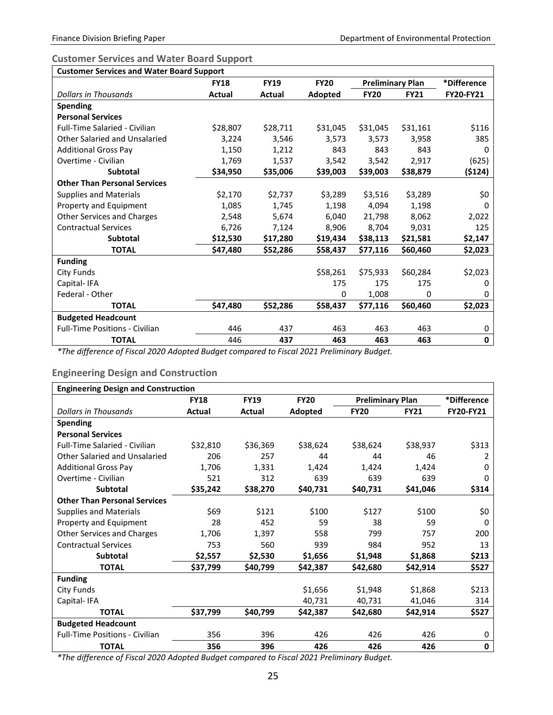### <span id="page-26-0"></span>**Customer Services and Water Board Support**

| <b>Customer Services and Water Board Support</b> |               |             |             |                         |             |                  |  |  |  |
|--------------------------------------------------|---------------|-------------|-------------|-------------------------|-------------|------------------|--|--|--|
|                                                  | <b>FY18</b>   | <b>FY19</b> | <b>FY20</b> | <b>Preliminary Plan</b> |             | *Difference      |  |  |  |
| <b>Dollars in Thousands</b>                      | <b>Actual</b> | Actual      | Adopted     | <b>FY20</b>             | <b>FY21</b> | <b>FY20-FY21</b> |  |  |  |
| <b>Spending</b>                                  |               |             |             |                         |             |                  |  |  |  |
| <b>Personal Services</b>                         |               |             |             |                         |             |                  |  |  |  |
| <b>Full-Time Salaried - Civilian</b>             | \$28,807      | \$28,711    | \$31,045    | \$31,045                | \$31,161    | \$116            |  |  |  |
| <b>Other Salaried and Unsalaried</b>             | 3,224         | 3.546       | 3.573       | 3,573                   | 3,958       | 385              |  |  |  |
| <b>Additional Gross Pay</b>                      | 1,150         | 1,212       | 843         | 843                     | 843         | 0                |  |  |  |
| Overtime - Civilian                              | 1,769         | 1,537       | 3,542       | 3,542                   | 2,917       | (625)            |  |  |  |
| Subtotal                                         | \$34,950      | \$35,006    | \$39,003    | \$39,003                | \$38,879    | (\$124)          |  |  |  |
| <b>Other Than Personal Services</b>              |               |             |             |                         |             |                  |  |  |  |
| <b>Supplies and Materials</b>                    | \$2,170       | \$2,737     | \$3,289     | \$3,516                 | \$3,289     | \$0              |  |  |  |
| Property and Equipment                           | 1,085         | 1,745       | 1,198       | 4,094                   | 1,198       | 0                |  |  |  |
| <b>Other Services and Charges</b>                | 2,548         | 5,674       | 6,040       | 21,798                  | 8,062       | 2,022            |  |  |  |
| <b>Contractual Services</b>                      | 6,726         | 7,124       | 8,906       | 8,704                   | 9.031       | 125              |  |  |  |
| <b>Subtotal</b>                                  | \$12,530      | \$17,280    | \$19,434    | \$38,113                | \$21,581    | \$2,147          |  |  |  |
| <b>TOTAL</b>                                     | \$47,480      | \$52,286    | \$58,437    | \$77,116                | \$60,460    | \$2,023          |  |  |  |
| <b>Funding</b>                                   |               |             |             |                         |             |                  |  |  |  |
| City Funds                                       |               |             | \$58,261    | \$75,933                | \$60,284    | \$2,023          |  |  |  |
| Capital-IFA                                      |               |             | 175         | 175                     | 175         | 0                |  |  |  |
| Federal - Other                                  |               |             | 0           | 1,008                   | 0           | 0                |  |  |  |
| <b>TOTAL</b>                                     | \$47,480      | \$52,286    | \$58,437    | \$77,116                | \$60,460    | \$2,023          |  |  |  |
| <b>Budgeted Headcount</b>                        |               |             |             |                         |             |                  |  |  |  |
| <b>Full-Time Positions - Civilian</b>            | 446           | 437         | 463         | 463                     | 463         | 0                |  |  |  |
| <b>TOTAL</b>                                     | 446           | 437         | 463         | 463                     | 463         | $\mathbf 0$      |  |  |  |

*\*The difference of Fiscal 2020 Adopted Budget compared to Fiscal 2021 Preliminary Budget.*

#### <span id="page-26-1"></span>**Engineering Design and Construction**

| <b>Engineering Design and Construction</b> |             |             |             |                         |             |                  |  |  |  |  |
|--------------------------------------------|-------------|-------------|-------------|-------------------------|-------------|------------------|--|--|--|--|
|                                            | <b>FY18</b> | <b>FY19</b> | <b>FY20</b> | <b>Preliminary Plan</b> |             | *Difference      |  |  |  |  |
| <b>Dollars in Thousands</b>                | Actual      | Actual      | Adopted     | <b>FY20</b>             | <b>FY21</b> | <b>FY20-FY21</b> |  |  |  |  |
| <b>Spending</b>                            |             |             |             |                         |             |                  |  |  |  |  |
| <b>Personal Services</b>                   |             |             |             |                         |             |                  |  |  |  |  |
| <b>Full-Time Salaried - Civilian</b>       | \$32,810    | \$36,369    | \$38,624    | \$38,624                | \$38,937    | \$313            |  |  |  |  |
| Other Salaried and Unsalaried              | 206         | 257         | 44          | 44                      | 46          | 2                |  |  |  |  |
| <b>Additional Gross Pay</b>                | 1,706       | 1,331       | 1,424       | 1,424                   | 1,424       | 0                |  |  |  |  |
| Overtime - Civilian                        | 521         | 312         | 639         | 639                     | 639         | 0                |  |  |  |  |
| <b>Subtotal</b>                            | \$35,242    | \$38,270    | \$40,731    | \$40,731                | \$41,046    | \$314            |  |  |  |  |
| <b>Other Than Personal Services</b>        |             |             |             |                         |             |                  |  |  |  |  |
| <b>Supplies and Materials</b>              | \$69        | \$121       | \$100       | \$127                   | \$100       | \$0              |  |  |  |  |
| Property and Equipment                     | 28          | 452         | 59          | 38                      | 59          | 0                |  |  |  |  |
| <b>Other Services and Charges</b>          | 1,706       | 1,397       | 558         | 799                     | 757         | 200              |  |  |  |  |
| <b>Contractual Services</b>                | 753         | 560         | 939         | 984                     | 952         | 13               |  |  |  |  |
| <b>Subtotal</b>                            | \$2,557     | \$2,530     | \$1,656     | \$1,948                 | \$1,868     | \$213            |  |  |  |  |
| <b>TOTAL</b>                               | \$37,799    | \$40,799    | \$42,387    | \$42,680                | \$42,914    | \$527            |  |  |  |  |
| <b>Funding</b>                             |             |             |             |                         |             |                  |  |  |  |  |
| City Funds                                 |             |             | \$1,656     | \$1,948                 | \$1,868     | \$213            |  |  |  |  |
| Capital-IFA                                |             |             | 40,731      | 40,731                  | 41,046      | 314              |  |  |  |  |
| <b>TOTAL</b>                               | \$37,799    | \$40,799    | \$42,387    | \$42,680                | \$42,914    | \$527            |  |  |  |  |
| <b>Budgeted Headcount</b>                  |             |             |             |                         |             |                  |  |  |  |  |
| <b>Full-Time Positions - Civilian</b>      | 356         | 396         | 426         | 426                     | 426         | 0                |  |  |  |  |
| <b>TOTAL</b>                               | 356         | 396         | 426         | 426                     | 426         | 0                |  |  |  |  |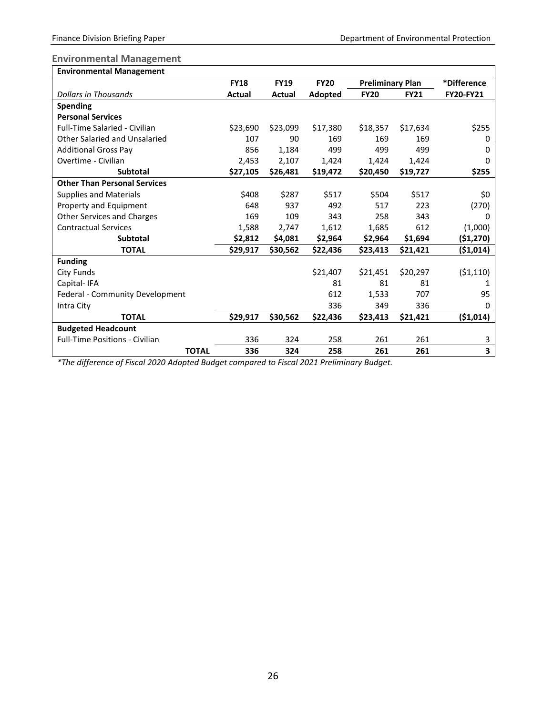### <span id="page-27-0"></span>**Environmental Management**

| <b>Environmental Management</b>       |              |             |             |             |                         |             |                  |
|---------------------------------------|--------------|-------------|-------------|-------------|-------------------------|-------------|------------------|
|                                       |              | <b>FY18</b> | <b>FY19</b> | <b>FY20</b> | <b>Preliminary Plan</b> |             | *Difference      |
| Dollars in Thousands                  |              | Actual      | Actual      | Adopted     | <b>FY20</b>             | <b>FY21</b> | <b>FY20-FY21</b> |
| <b>Spending</b>                       |              |             |             |             |                         |             |                  |
| <b>Personal Services</b>              |              |             |             |             |                         |             |                  |
| Full-Time Salaried - Civilian         |              | \$23,690    | \$23,099    | \$17,380    | \$18,357                | \$17,634    | \$255            |
| Other Salaried and Unsalaried         |              | 107         | 90          | 169         | 169                     | 169         | 0                |
| <b>Additional Gross Pav</b>           |              | 856         | 1,184       | 499         | 499                     | 499         | 0                |
| Overtime - Civilian                   |              | 2,453       | 2.107       | 1,424       | 1,424                   | 1,424       | 0                |
| <b>Subtotal</b>                       |              | \$27,105    | \$26,481    | \$19,472    | \$20,450                | \$19,727    | \$255            |
| <b>Other Than Personal Services</b>   |              |             |             |             |                         |             |                  |
| <b>Supplies and Materials</b>         |              | \$408       | \$287       | \$517       | \$504                   | \$517       | \$0              |
| Property and Equipment                |              | 648         | 937         | 492         | 517                     | 223         | (270)            |
| <b>Other Services and Charges</b>     |              | 169         | 109         | 343         | 258                     | 343         | 0                |
| <b>Contractual Services</b>           |              | 1,588       | 2,747       | 1,612       | 1,685                   | 612         | (1,000)          |
| <b>Subtotal</b>                       |              | \$2,812     | \$4,081     | \$2,964     | \$2,964                 | \$1,694     | ( \$1,270)       |
| <b>TOTAL</b>                          |              | \$29,917    | \$30,562    | \$22,436    | \$23,413                | \$21,421    | (\$1,014)        |
| <b>Funding</b>                        |              |             |             |             |                         |             |                  |
| <b>City Funds</b>                     |              |             |             | \$21,407    | \$21,451                | \$20,297    | (51, 110)        |
| Capital-IFA                           |              |             |             | 81          | 81                      | 81          | 1                |
| Federal - Community Development       |              |             |             | 612         | 1,533                   | 707         | 95               |
| Intra City                            |              |             |             | 336         | 349                     | 336         | 0                |
| <b>TOTAL</b>                          |              | \$29,917    | \$30,562    | \$22,436    | \$23,413                | \$21,421    | ( \$1,014)       |
| <b>Budgeted Headcount</b>             |              |             |             |             |                         |             |                  |
| <b>Full-Time Positions - Civilian</b> |              | 336         | 324         | 258         | 261                     | 261         | 3                |
|                                       | <b>TOTAL</b> | 336         | 324         | 258         | 261                     | 261         | 3                |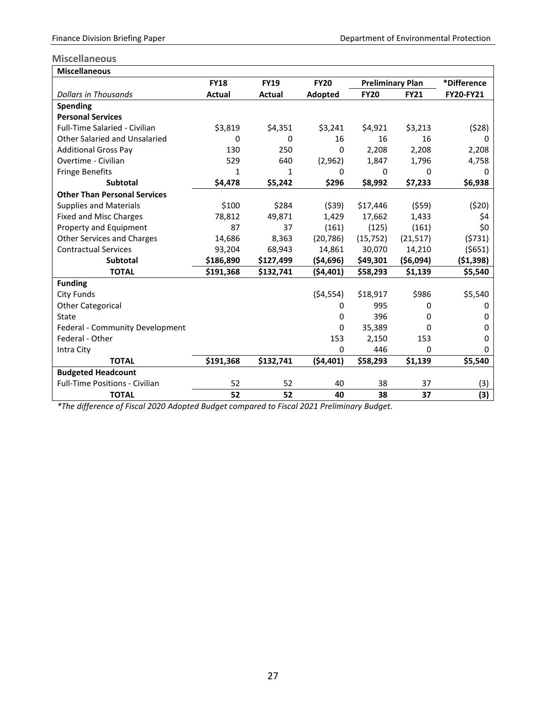### <span id="page-28-0"></span>**Miscellaneous**

| <b>Miscellaneous</b>                  |             |             |             |                         |             |                  |
|---------------------------------------|-------------|-------------|-------------|-------------------------|-------------|------------------|
|                                       | <b>FY18</b> | <b>FY19</b> | <b>FY20</b> | <b>Preliminary Plan</b> |             | *Difference      |
| Dollars in Thousands                  | Actual      | Actual      | Adopted     | <b>FY20</b>             | <b>FY21</b> | <b>FY20-FY21</b> |
| <b>Spending</b>                       |             |             |             |                         |             |                  |
| <b>Personal Services</b>              |             |             |             |                         |             |                  |
| Full-Time Salaried - Civilian         | \$3,819     | \$4,351     | \$3,241     | \$4,921                 | \$3,213     | (528)            |
| Other Salaried and Unsalaried         | 0           | 0           | 16          | 16                      | 16          | 0                |
| <b>Additional Gross Pay</b>           | 130         | 250         | 0           | 2,208                   | 2,208       | 2,208            |
| Overtime - Civilian                   | 529         | 640         | (2,962)     | 1,847                   | 1,796       | 4,758            |
| <b>Fringe Benefits</b>                | 1           | 1           | 0           | 0                       | 0           | 0                |
| Subtotal                              | \$4,478     | \$5,242     | \$296       | \$8,992                 | \$7,233     | \$6,938          |
| <b>Other Than Personal Services</b>   |             |             |             |                         |             |                  |
| <b>Supplies and Materials</b>         | \$100       | \$284       | (539)       | \$17,446                | (559)       | (520)            |
| <b>Fixed and Misc Charges</b>         | 78,812      | 49,871      | 1,429       | 17,662                  | 1,433       | \$4              |
| Property and Equipment                | 87          | 37          | (161)       | (125)                   | (161)       | \$0              |
| <b>Other Services and Charges</b>     | 14,686      | 8,363       | (20, 786)   | (15, 752)               | (21, 517)   | (5731)           |
| <b>Contractual Services</b>           | 93,204      | 68,943      | 14,861      | 30,070                  | 14,210      | (5651)           |
| <b>Subtotal</b>                       | \$186,890   | \$127,499   | (54, 696)   | \$49,301                | (56,094)    | ( \$1,398)       |
| <b>TOTAL</b>                          | \$191,368   | \$132,741   | (54, 401)   | \$58,293                | \$1,139     | \$5,540          |
| <b>Funding</b>                        |             |             |             |                         |             |                  |
| City Funds                            |             |             | (54, 554)   | \$18,917                | \$986       | \$5,540          |
| <b>Other Categorical</b>              |             |             | 0           | 995                     | 0           | 0                |
| State                                 |             |             | 0           | 396                     | 0           | 0                |
| Federal - Community Development       |             |             | 0           | 35,389                  | 0           | 0                |
| Federal - Other                       |             |             | 153         | 2,150                   | 153         | 0                |
| Intra City                            |             |             | 0           | 446                     | 0           | 0                |
| <b>TOTAL</b>                          | \$191,368   | \$132,741   | (54, 401)   | \$58,293                | \$1,139     | \$5,540          |
| <b>Budgeted Headcount</b>             |             |             |             |                         |             |                  |
| <b>Full-Time Positions - Civilian</b> | 52          | 52          | 40          | 38                      | 37          | (3)              |
| <b>TOTAL</b>                          | 52          | 52          | 40          | 38                      | 37          | (3)              |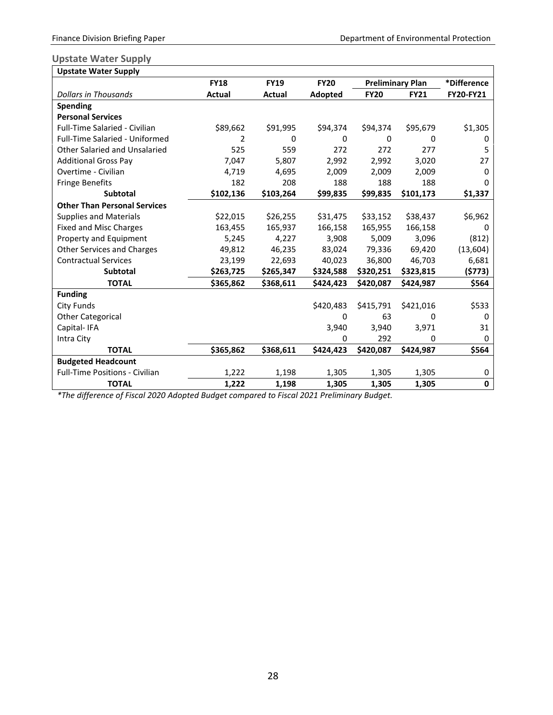#### <span id="page-29-0"></span>**Upstate Water Supply**

| <b>Upstate Water Supply</b>           |               |             |             |             |                         |                  |
|---------------------------------------|---------------|-------------|-------------|-------------|-------------------------|------------------|
|                                       | <b>FY18</b>   | <b>FY19</b> | <b>FY20</b> |             | <b>Preliminary Plan</b> | *Difference      |
| <b>Dollars in Thousands</b>           | <b>Actual</b> | Actual      | Adopted     | <b>FY20</b> | <b>FY21</b>             | <b>FY20-FY21</b> |
| <b>Spending</b>                       |               |             |             |             |                         |                  |
| <b>Personal Services</b>              |               |             |             |             |                         |                  |
| <b>Full-Time Salaried - Civilian</b>  | \$89,662      | \$91,995    | \$94,374    | \$94,374    | \$95,679                | \$1,305          |
| <b>Full-Time Salaried - Uniformed</b> | 2             | 0           | 0           | 0           | 0                       | 0                |
| <b>Other Salaried and Unsalaried</b>  | 525           | 559         | 272         | 272         | 277                     | 5                |
| <b>Additional Gross Pay</b>           | 7,047         | 5,807       | 2,992       | 2,992       | 3,020                   | 27               |
| Overtime - Civilian                   | 4,719         | 4,695       | 2,009       | 2,009       | 2,009                   | 0                |
| <b>Fringe Benefits</b>                | 182           | 208         | 188         | 188         | 188                     | 0                |
| <b>Subtotal</b>                       | \$102,136     | \$103,264   | \$99,835    | \$99,835    | \$101,173               | \$1,337          |
| <b>Other Than Personal Services</b>   |               |             |             |             |                         |                  |
| <b>Supplies and Materials</b>         | \$22,015      | \$26,255    | \$31,475    | \$33,152    | \$38,437                | \$6,962          |
| <b>Fixed and Misc Charges</b>         | 163,455       | 165,937     | 166,158     | 165,955     | 166,158                 | 0                |
| Property and Equipment                | 5,245         | 4,227       | 3,908       | 5,009       | 3,096                   | (812)            |
| <b>Other Services and Charges</b>     | 49,812        | 46,235      | 83,024      | 79,336      | 69,420                  | (13, 604)        |
| <b>Contractual Services</b>           | 23,199        | 22,693      | 40,023      | 36,800      | 46,703                  | 6,681            |
| <b>Subtotal</b>                       | \$263,725     | \$265,347   | \$324,588   | \$320,251   | \$323,815               | (\$773)          |
| <b>TOTAL</b>                          | \$365,862     | \$368,611   | \$424,423   | \$420,087   | \$424,987               | \$564            |
| <b>Funding</b>                        |               |             |             |             |                         |                  |
| <b>City Funds</b>                     |               |             | \$420,483   | \$415,791   | \$421,016               | \$533            |
| <b>Other Categorical</b>              |               |             | 0           | 63          | 0                       | 0                |
| Capital-IFA                           |               |             | 3,940       | 3,940       | 3,971                   | 31               |
| Intra City                            |               |             | 0           | 292         | 0                       | 0                |
| <b>TOTAL</b>                          | \$365,862     | \$368,611   | \$424,423   | \$420,087   | \$424,987               | \$564            |
| <b>Budgeted Headcount</b>             |               |             |             |             |                         |                  |
| <b>Full-Time Positions - Civilian</b> | 1,222         | 1,198       | 1,305       | 1,305       | 1,305                   | 0                |
| <b>TOTAL</b>                          | 1,222         | 1,198       | 1,305       | 1,305       | 1,305                   | $\bf{0}$         |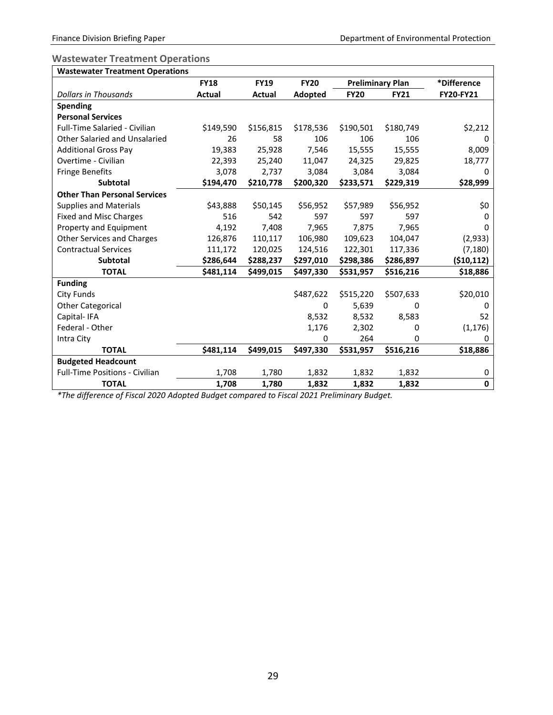### <span id="page-30-0"></span>**Wastewater Treatment Operations**

| <b>Wastewater Treatment Operations</b> |             |             |             |                         |             |             |
|----------------------------------------|-------------|-------------|-------------|-------------------------|-------------|-------------|
|                                        | <b>FY18</b> | <b>FY19</b> | <b>FY20</b> | <b>Preliminary Plan</b> |             | *Difference |
| Dollars in Thousands                   | Actual      | Actual      | Adopted     | <b>FY20</b>             | <b>FY21</b> | FY20-FY21   |
| <b>Spending</b>                        |             |             |             |                         |             |             |
| <b>Personal Services</b>               |             |             |             |                         |             |             |
| <b>Full-Time Salaried - Civilian</b>   | \$149,590   | \$156,815   | \$178,536   | \$190,501               | \$180,749   | \$2,212     |
| Other Salaried and Unsalaried          | 26          | 58          | 106         | 106                     | 106         | 0           |
| <b>Additional Gross Pay</b>            | 19,383      | 25,928      | 7,546       | 15,555                  | 15,555      | 8,009       |
| Overtime - Civilian                    | 22,393      | 25,240      | 11,047      | 24,325                  | 29,825      | 18,777      |
| <b>Fringe Benefits</b>                 | 3,078       | 2,737       | 3,084       | 3,084                   | 3,084       | 0           |
| <b>Subtotal</b>                        | \$194,470   | \$210,778   | \$200,320   | \$233,571               | \$229,319   | \$28,999    |
| <b>Other Than Personal Services</b>    |             |             |             |                         |             |             |
| <b>Supplies and Materials</b>          | \$43,888    | \$50,145    | \$56,952    | \$57,989                | \$56,952    | \$0         |
| <b>Fixed and Misc Charges</b>          | 516         | 542         | 597         | 597                     | 597         | 0           |
| Property and Equipment                 | 4,192       | 7,408       | 7,965       | 7,875                   | 7,965       | 0           |
| <b>Other Services and Charges</b>      | 126,876     | 110,117     | 106,980     | 109,623                 | 104,047     | (2,933)     |
| <b>Contractual Services</b>            | 111,172     | 120,025     | 124,516     | 122,301                 | 117,336     | (7, 180)    |
| <b>Subtotal</b>                        | \$286,644   | \$288,237   | \$297,010   | \$298,386               | \$286,897   | (\$10,112)  |
| <b>TOTAL</b>                           | \$481,114   | \$499,015   | \$497,330   | \$531,957               | \$516,216   | \$18,886    |
| <b>Funding</b>                         |             |             |             |                         |             |             |
| <b>City Funds</b>                      |             |             | \$487,622   | \$515,220               | \$507,633   | \$20,010    |
| <b>Other Categorical</b>               |             |             | 0           | 5,639                   | 0           | 0           |
| Capital-IFA                            |             |             | 8,532       | 8,532                   | 8,583       | 52          |
| Federal - Other                        |             |             | 1,176       | 2,302                   | 0           | (1, 176)    |
| Intra City                             |             |             | 0           | 264                     | 0           | 0           |
| <b>TOTAL</b>                           | \$481,114   | \$499,015   | \$497,330   | \$531,957               | \$516,216   | \$18,886    |
| <b>Budgeted Headcount</b>              |             |             |             |                         |             |             |
| Full-Time Positions - Civilian         | 1,708       | 1,780       | 1,832       | 1,832                   | 1,832       | 0           |
| <b>TOTAL</b>                           | 1,708       | 1,780       | 1,832       | 1,832                   | 1,832       | $\pmb{0}$   |